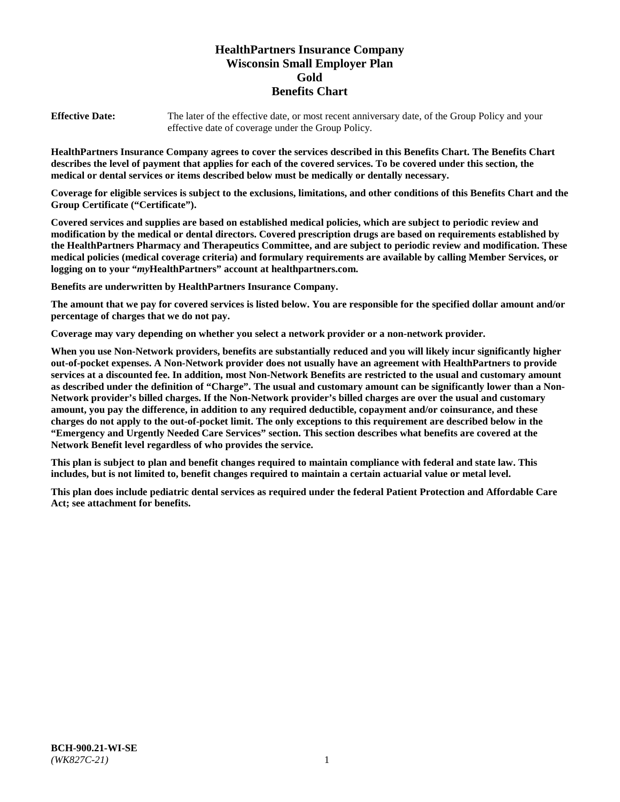# **HealthPartners Insurance Company Wisconsin Small Employer Plan Gold Benefits Chart**

**Effective Date:** The later of the effective date, or most recent anniversary date, of the Group Policy and your effective date of coverage under the Group Policy.

**HealthPartners Insurance Company agrees to cover the services described in this Benefits Chart. The Benefits Chart describes the level of payment that applies for each of the covered services. To be covered under this section, the medical or dental services or items described below must be medically or dentally necessary.**

**Coverage for eligible services is subject to the exclusions, limitations, and other conditions of this Benefits Chart and the Group Certificate ("Certificate").**

**Covered services and supplies are based on established medical policies, which are subject to periodic review and modification by the medical or dental directors. Covered prescription drugs are based on requirements established by the HealthPartners Pharmacy and Therapeutics Committee, and are subject to periodic review and modification. These medical policies (medical coverage criteria) and formulary requirements are available by calling Member Services, or logging on to your "***my***HealthPartners" account at [healthpartners.com.](https://www.healthpartners.com/hp/index.html)**

**Benefits are underwritten by HealthPartners Insurance Company.**

**The amount that we pay for covered services is listed below. You are responsible for the specified dollar amount and/or percentage of charges that we do not pay.**

**Coverage may vary depending on whether you select a network provider or a non-network provider.**

**When you use Non-Network providers, benefits are substantially reduced and you will likely incur significantly higher out-of-pocket expenses. A Non-Network provider does not usually have an agreement with HealthPartners to provide services at a discounted fee. In addition, most Non-Network Benefits are restricted to the usual and customary amount as described under the definition of "Charge". The usual and customary amount can be significantly lower than a Non-Network provider's billed charges. If the Non-Network provider's billed charges are over the usual and customary amount, you pay the difference, in addition to any required deductible, copayment and/or coinsurance, and these charges do not apply to the out-of-pocket limit. The only exceptions to this requirement are described below in the "Emergency and Urgently Needed Care Services" section. This section describes what benefits are covered at the Network Benefit level regardless of who provides the service.**

**This plan is subject to plan and benefit changes required to maintain compliance with federal and state law. This includes, but is not limited to, benefit changes required to maintain a certain actuarial value or metal level.**

**This plan does include pediatric dental services as required under the federal Patient Protection and Affordable Care Act; see attachment for benefits.**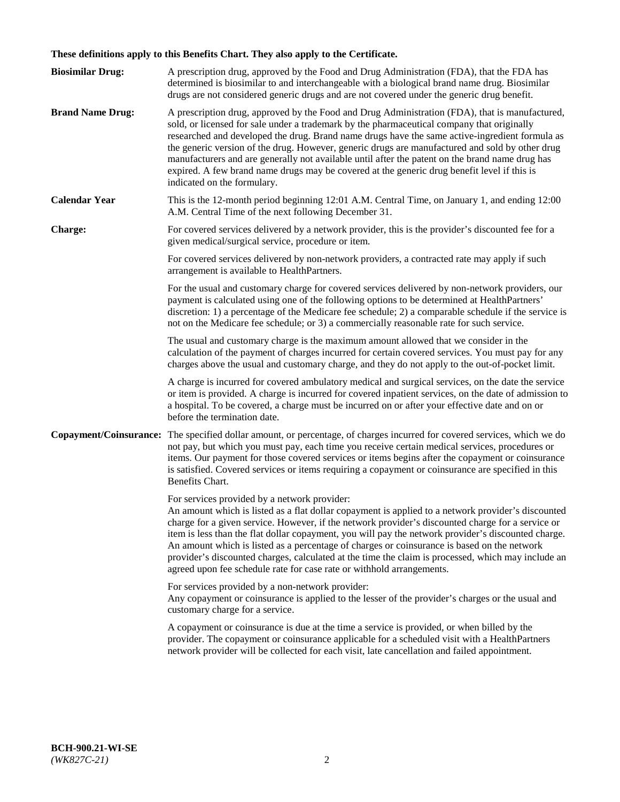# **These definitions apply to this Benefits Chart. They also apply to the Certificate.**

| <b>Biosimilar Drug:</b> | A prescription drug, approved by the Food and Drug Administration (FDA), that the FDA has<br>determined is biosimilar to and interchangeable with a biological brand name drug. Biosimilar<br>drugs are not considered generic drugs and are not covered under the generic drug benefit.                                                                                                                                                                                                                                                                                                                                                     |
|-------------------------|----------------------------------------------------------------------------------------------------------------------------------------------------------------------------------------------------------------------------------------------------------------------------------------------------------------------------------------------------------------------------------------------------------------------------------------------------------------------------------------------------------------------------------------------------------------------------------------------------------------------------------------------|
| <b>Brand Name Drug:</b> | A prescription drug, approved by the Food and Drug Administration (FDA), that is manufactured,<br>sold, or licensed for sale under a trademark by the pharmaceutical company that originally<br>researched and developed the drug. Brand name drugs have the same active-ingredient formula as<br>the generic version of the drug. However, generic drugs are manufactured and sold by other drug<br>manufacturers and are generally not available until after the patent on the brand name drug has<br>expired. A few brand name drugs may be covered at the generic drug benefit level if this is<br>indicated on the formulary.           |
| <b>Calendar Year</b>    | This is the 12-month period beginning 12:01 A.M. Central Time, on January 1, and ending 12:00<br>A.M. Central Time of the next following December 31.                                                                                                                                                                                                                                                                                                                                                                                                                                                                                        |
| <b>Charge:</b>          | For covered services delivered by a network provider, this is the provider's discounted fee for a<br>given medical/surgical service, procedure or item.                                                                                                                                                                                                                                                                                                                                                                                                                                                                                      |
|                         | For covered services delivered by non-network providers, a contracted rate may apply if such<br>arrangement is available to HealthPartners.                                                                                                                                                                                                                                                                                                                                                                                                                                                                                                  |
|                         | For the usual and customary charge for covered services delivered by non-network providers, our<br>payment is calculated using one of the following options to be determined at HealthPartners'<br>discretion: 1) a percentage of the Medicare fee schedule; 2) a comparable schedule if the service is<br>not on the Medicare fee schedule; or 3) a commercially reasonable rate for such service.                                                                                                                                                                                                                                          |
|                         | The usual and customary charge is the maximum amount allowed that we consider in the<br>calculation of the payment of charges incurred for certain covered services. You must pay for any<br>charges above the usual and customary charge, and they do not apply to the out-of-pocket limit.                                                                                                                                                                                                                                                                                                                                                 |
|                         | A charge is incurred for covered ambulatory medical and surgical services, on the date the service<br>or item is provided. A charge is incurred for covered inpatient services, on the date of admission to<br>a hospital. To be covered, a charge must be incurred on or after your effective date and on or<br>before the termination date.                                                                                                                                                                                                                                                                                                |
| Copayment/Coinsurance:  | The specified dollar amount, or percentage, of charges incurred for covered services, which we do<br>not pay, but which you must pay, each time you receive certain medical services, procedures or<br>items. Our payment for those covered services or items begins after the copayment or coinsurance<br>is satisfied. Covered services or items requiring a copayment or coinsurance are specified in this<br>Benefits Chart.                                                                                                                                                                                                             |
|                         | For services provided by a network provider:<br>An amount which is listed as a flat dollar copayment is applied to a network provider's discounted<br>charge for a given service. However, if the network provider's discounted charge for a service or<br>item is less than the flat dollar copayment, you will pay the network provider's discounted charge.<br>An amount which is listed as a percentage of charges or coinsurance is based on the network<br>provider's discounted charges, calculated at the time the claim is processed, which may include an<br>agreed upon fee schedule rate for case rate or withhold arrangements. |
|                         | For services provided by a non-network provider:<br>Any copayment or coinsurance is applied to the lesser of the provider's charges or the usual and<br>customary charge for a service.                                                                                                                                                                                                                                                                                                                                                                                                                                                      |
|                         | A copayment or coinsurance is due at the time a service is provided, or when billed by the<br>provider. The copayment or coinsurance applicable for a scheduled visit with a HealthPartners<br>network provider will be collected for each visit, late cancellation and failed appointment.                                                                                                                                                                                                                                                                                                                                                  |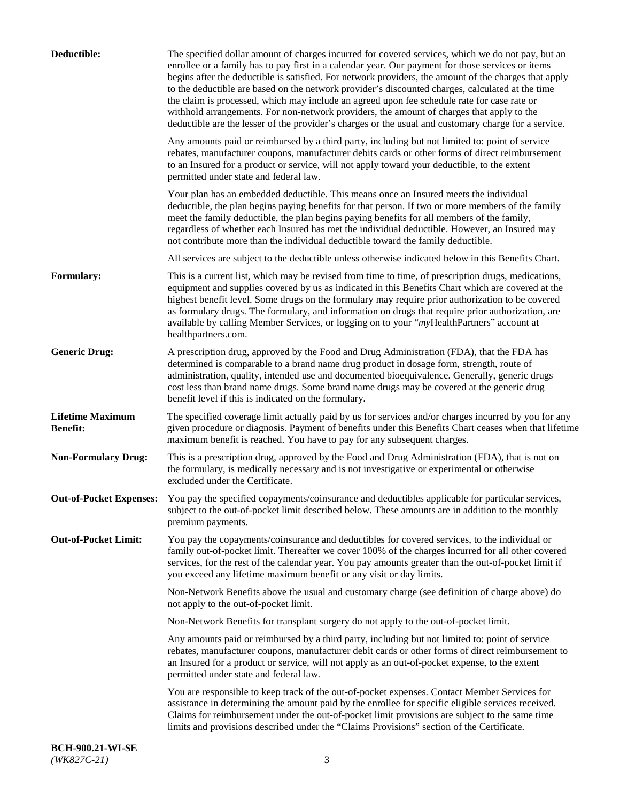| Deductible:                                | The specified dollar amount of charges incurred for covered services, which we do not pay, but an<br>enrollee or a family has to pay first in a calendar year. Our payment for those services or items<br>begins after the deductible is satisfied. For network providers, the amount of the charges that apply<br>to the deductible are based on the network provider's discounted charges, calculated at the time<br>the claim is processed, which may include an agreed upon fee schedule rate for case rate or<br>withhold arrangements. For non-network providers, the amount of charges that apply to the<br>deductible are the lesser of the provider's charges or the usual and customary charge for a service. |
|--------------------------------------------|-------------------------------------------------------------------------------------------------------------------------------------------------------------------------------------------------------------------------------------------------------------------------------------------------------------------------------------------------------------------------------------------------------------------------------------------------------------------------------------------------------------------------------------------------------------------------------------------------------------------------------------------------------------------------------------------------------------------------|
|                                            | Any amounts paid or reimbursed by a third party, including but not limited to: point of service<br>rebates, manufacturer coupons, manufacturer debits cards or other forms of direct reimbursement<br>to an Insured for a product or service, will not apply toward your deductible, to the extent<br>permitted under state and federal law.                                                                                                                                                                                                                                                                                                                                                                            |
|                                            | Your plan has an embedded deductible. This means once an Insured meets the individual<br>deductible, the plan begins paying benefits for that person. If two or more members of the family<br>meet the family deductible, the plan begins paying benefits for all members of the family,<br>regardless of whether each Insured has met the individual deductible. However, an Insured may<br>not contribute more than the individual deductible toward the family deductible.                                                                                                                                                                                                                                           |
|                                            | All services are subject to the deductible unless otherwise indicated below in this Benefits Chart.                                                                                                                                                                                                                                                                                                                                                                                                                                                                                                                                                                                                                     |
| Formulary:                                 | This is a current list, which may be revised from time to time, of prescription drugs, medications,<br>equipment and supplies covered by us as indicated in this Benefits Chart which are covered at the<br>highest benefit level. Some drugs on the formulary may require prior authorization to be covered<br>as formulary drugs. The formulary, and information on drugs that require prior authorization, are<br>available by calling Member Services, or logging on to your "myHealthPartners" account at<br>healthpartners.com.                                                                                                                                                                                   |
| <b>Generic Drug:</b>                       | A prescription drug, approved by the Food and Drug Administration (FDA), that the FDA has<br>determined is comparable to a brand name drug product in dosage form, strength, route of<br>administration, quality, intended use and documented bioequivalence. Generally, generic drugs<br>cost less than brand name drugs. Some brand name drugs may be covered at the generic drug<br>benefit level if this is indicated on the formulary.                                                                                                                                                                                                                                                                             |
| <b>Lifetime Maximum</b><br><b>Benefit:</b> | The specified coverage limit actually paid by us for services and/or charges incurred by you for any<br>given procedure or diagnosis. Payment of benefits under this Benefits Chart ceases when that lifetime<br>maximum benefit is reached. You have to pay for any subsequent charges.                                                                                                                                                                                                                                                                                                                                                                                                                                |
| <b>Non-Formulary Drug:</b>                 | This is a prescription drug, approved by the Food and Drug Administration (FDA), that is not on<br>the formulary, is medically necessary and is not investigative or experimental or otherwise<br>excluded under the Certificate.                                                                                                                                                                                                                                                                                                                                                                                                                                                                                       |
|                                            | Out-of-Pocket Expenses: You pay the specified copayments/coinsurance and deductibles applicable for particular services,<br>subject to the out-of-pocket limit described below. These amounts are in addition to the monthly<br>premium payments.                                                                                                                                                                                                                                                                                                                                                                                                                                                                       |
| <b>Out-of-Pocket Limit:</b>                | You pay the copayments/coinsurance and deductibles for covered services, to the individual or<br>family out-of-pocket limit. Thereafter we cover 100% of the charges incurred for all other covered<br>services, for the rest of the calendar year. You pay amounts greater than the out-of-pocket limit if<br>you exceed any lifetime maximum benefit or any visit or day limits.                                                                                                                                                                                                                                                                                                                                      |
|                                            | Non-Network Benefits above the usual and customary charge (see definition of charge above) do<br>not apply to the out-of-pocket limit.                                                                                                                                                                                                                                                                                                                                                                                                                                                                                                                                                                                  |
|                                            | Non-Network Benefits for transplant surgery do not apply to the out-of-pocket limit.                                                                                                                                                                                                                                                                                                                                                                                                                                                                                                                                                                                                                                    |
|                                            | Any amounts paid or reimbursed by a third party, including but not limited to: point of service<br>rebates, manufacturer coupons, manufacturer debit cards or other forms of direct reimbursement to<br>an Insured for a product or service, will not apply as an out-of-pocket expense, to the extent<br>permitted under state and federal law.                                                                                                                                                                                                                                                                                                                                                                        |
|                                            | You are responsible to keep track of the out-of-pocket expenses. Contact Member Services for<br>assistance in determining the amount paid by the enrollee for specific eligible services received.<br>Claims for reimbursement under the out-of-pocket limit provisions are subject to the same time<br>limits and provisions described under the "Claims Provisions" section of the Certificate.                                                                                                                                                                                                                                                                                                                       |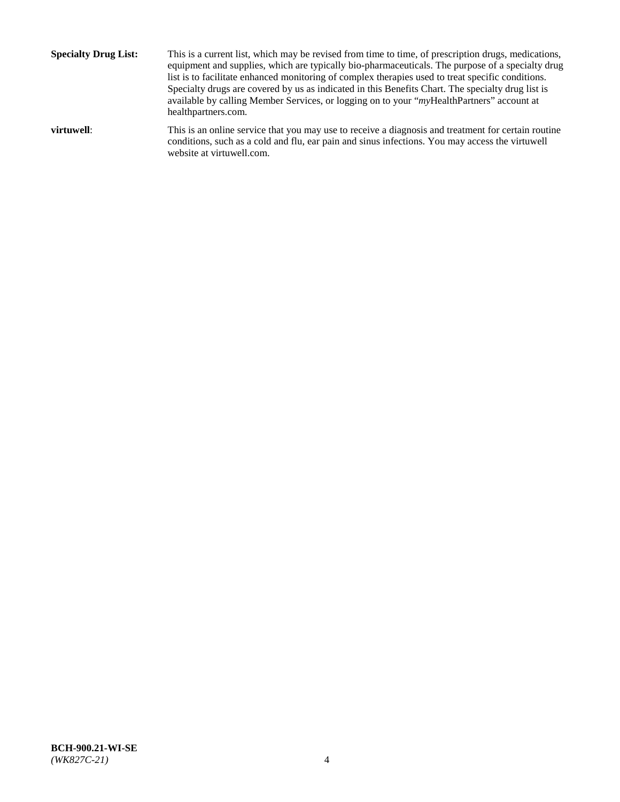**Specialty Drug List:** This is a current list, which may be revised from time to time, of prescription drugs, medications, equipment and supplies, which are typically bio-pharmaceuticals. The purpose of a specialty drug list is to facilitate enhanced monitoring of complex therapies used to treat specific conditions. Specialty drugs are covered by us as indicated in this Benefits Chart. The specialty drug list is available by calling Member Services, or logging on to your "*my*HealthPartners" account at [healthpartners.com.](http://www.healthpartners.com/) **virtuwell:** This is an online service that you may use to receive a diagnosis and treatment for certain routine conditions, such as a cold and flu, ear pain and sinus infections. You may access the virtuwell

website at [virtuwell.com.](http://www.virtuwell.com/)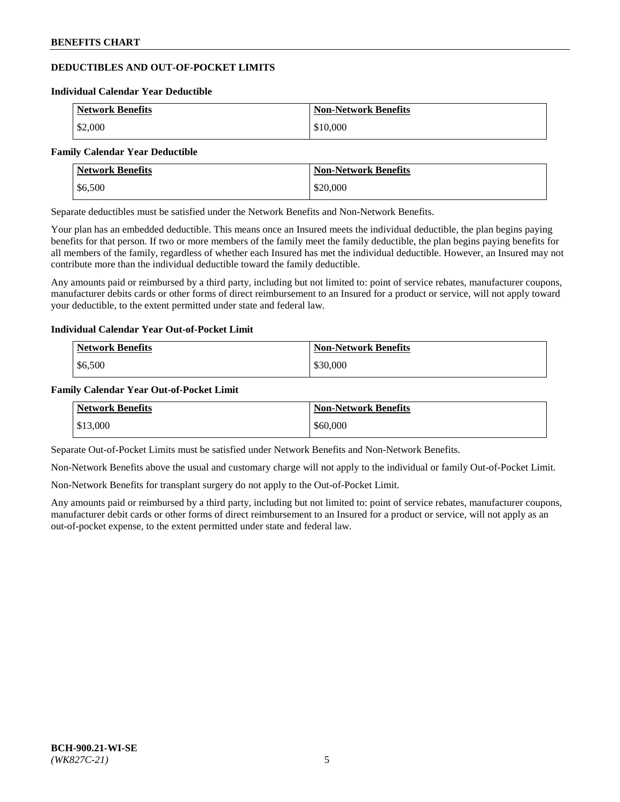# **DEDUCTIBLES AND OUT-OF-POCKET LIMITS**

#### **Individual Calendar Year Deductible**

| <b>Network Benefits</b> | <b>Non-Network Benefits</b> |
|-------------------------|-----------------------------|
| \$2,000                 | \$10,000                    |

#### **Family Calendar Year Deductible**

| <b>Network Benefits</b> | <b>Non-Network Benefits</b> |
|-------------------------|-----------------------------|
| \$6,500                 | \$20,000                    |

Separate deductibles must be satisfied under the Network Benefits and Non-Network Benefits.

Your plan has an embedded deductible. This means once an Insured meets the individual deductible, the plan begins paying benefits for that person. If two or more members of the family meet the family deductible, the plan begins paying benefits for all members of the family, regardless of whether each Insured has met the individual deductible. However, an Insured may not contribute more than the individual deductible toward the family deductible.

Any amounts paid or reimbursed by a third party, including but not limited to: point of service rebates, manufacturer coupons, manufacturer debits cards or other forms of direct reimbursement to an Insured for a product or service, will not apply toward your deductible, to the extent permitted under state and federal law.

## **Individual Calendar Year Out-of-Pocket Limit**

| <b>Network Benefits</b> | <b>Non-Network Benefits</b> |
|-------------------------|-----------------------------|
| \$6,500                 | \$30,000                    |

### **Family Calendar Year Out-of-Pocket Limit**

| <b>Network Benefits</b> | <b>Non-Network Benefits</b> |
|-------------------------|-----------------------------|
| \$13,000                | \$60,000                    |

Separate Out-of-Pocket Limits must be satisfied under Network Benefits and Non-Network Benefits.

Non-Network Benefits above the usual and customary charge will not apply to the individual or family Out-of-Pocket Limit.

Non-Network Benefits for transplant surgery do not apply to the Out-of-Pocket Limit.

Any amounts paid or reimbursed by a third party, including but not limited to: point of service rebates, manufacturer coupons, manufacturer debit cards or other forms of direct reimbursement to an Insured for a product or service, will not apply as an out-of-pocket expense, to the extent permitted under state and federal law.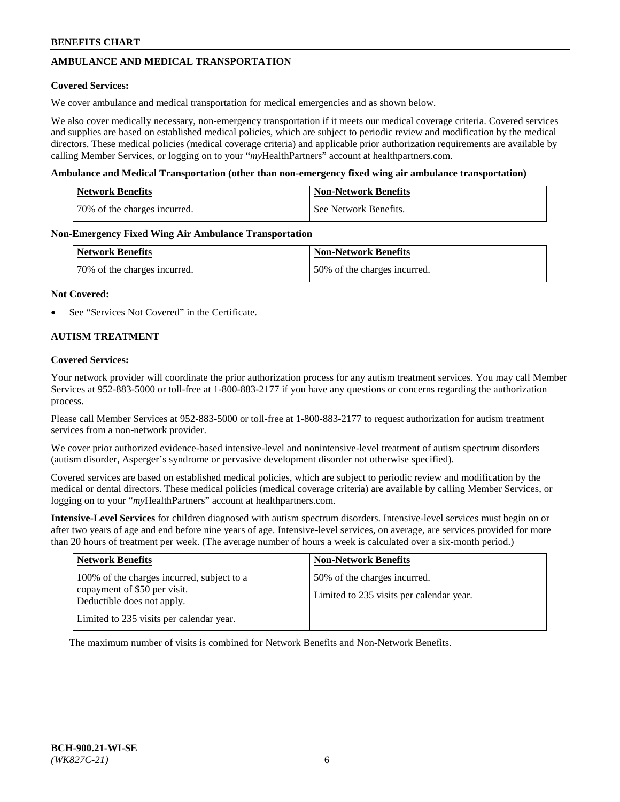# **AMBULANCE AND MEDICAL TRANSPORTATION**

## **Covered Services:**

We cover ambulance and medical transportation for medical emergencies and as shown below.

We also cover medically necessary, non-emergency transportation if it meets our medical coverage criteria. Covered services and supplies are based on established medical policies, which are subject to periodic review and modification by the medical directors. These medical policies (medical coverage criteria) and applicable prior authorization requirements are available by calling Member Services, or logging on to your "*my*HealthPartners" account a[t healthpartners.com.](https://www.healthpartners.com/hp/index.html)

### **Ambulance and Medical Transportation (other than non-emergency fixed wing air ambulance transportation)**

| <b>Network Benefits</b>      | <b>Non-Network Benefits</b> |
|------------------------------|-----------------------------|
| 70% of the charges incurred. | See Network Benefits.       |

### **Non-Emergency Fixed Wing Air Ambulance Transportation**

| <b>Network Benefits</b>      | <b>Non-Network Benefits</b>  |
|------------------------------|------------------------------|
| 70% of the charges incurred. | 50% of the charges incurred. |

### **Not Covered:**

See "Services Not Covered" in the Certificate.

## **AUTISM TREATMENT**

### **Covered Services:**

Your network provider will coordinate the prior authorization process for any autism treatment services. You may call Member Services at 952-883-5000 or toll-free at 1-800-883-2177 if you have any questions or concerns regarding the authorization process.

Please call Member Services at 952-883-5000 or toll-free at 1-800-883-2177 to request authorization for autism treatment services from a non-network provider.

We cover prior authorized evidence-based intensive-level and nonintensive-level treatment of autism spectrum disorders (autism disorder, Asperger's syndrome or pervasive development disorder not otherwise specified).

Covered services are based on established medical policies, which are subject to periodic review and modification by the medical or dental directors. These medical policies (medical coverage criteria) are available by calling Member Services, or logging on to your "*my*HealthPartners" account at [healthpartners.com.](https://www.healthpartners.com/hp/index.html)

**Intensive-Level Services** for children diagnosed with autism spectrum disorders. Intensive-level services must begin on or after two years of age and end before nine years of age. Intensive-level services, on average, are services provided for more than 20 hours of treatment per week. (The average number of hours a week is calculated over a six-month period.)

| <b>Network Benefits</b>                                                                                                                              | <b>Non-Network Benefits</b>                                              |
|------------------------------------------------------------------------------------------------------------------------------------------------------|--------------------------------------------------------------------------|
| 100% of the charges incurred, subject to a<br>copayment of \$50 per visit.<br>Deductible does not apply.<br>Limited to 235 visits per calendar year. | 50% of the charges incurred.<br>Limited to 235 visits per calendar year. |

The maximum number of visits is combined for Network Benefits and Non-Network Benefits.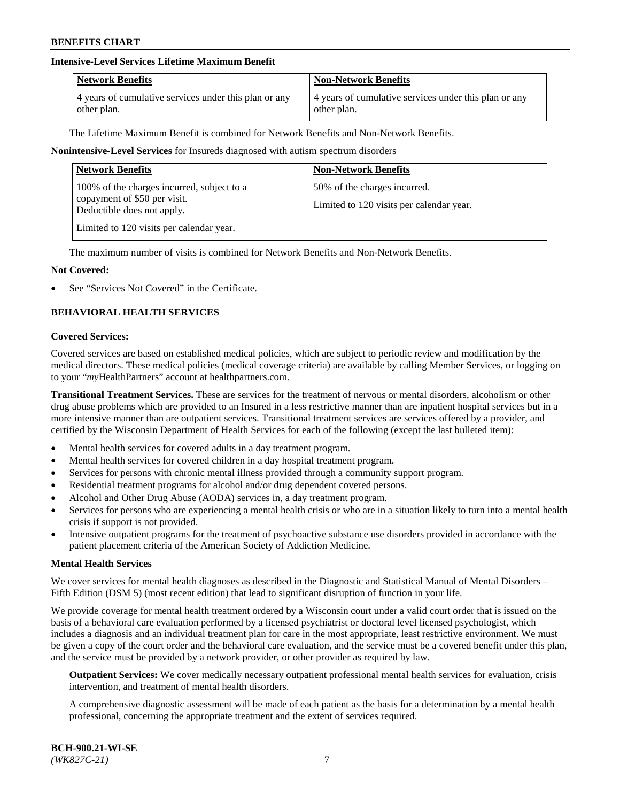## **Intensive-Level Services Lifetime Maximum Benefit**

| <b>Network Benefits</b>                               | <b>Non-Network Benefits</b>                           |
|-------------------------------------------------------|-------------------------------------------------------|
| 4 years of cumulative services under this plan or any | 4 years of cumulative services under this plan or any |
| other plan.                                           | other plan.                                           |

The Lifetime Maximum Benefit is combined for Network Benefits and Non-Network Benefits.

### **Nonintensive-Level Services** for Insureds diagnosed with autism spectrum disorders

| <b>Network Benefits</b>                                                                                                                              | <b>Non-Network Benefits</b>                                              |
|------------------------------------------------------------------------------------------------------------------------------------------------------|--------------------------------------------------------------------------|
| 100% of the charges incurred, subject to a<br>copayment of \$50 per visit.<br>Deductible does not apply.<br>Limited to 120 visits per calendar year. | 50% of the charges incurred.<br>Limited to 120 visits per calendar year. |

The maximum number of visits is combined for Network Benefits and Non-Network Benefits.

### **Not Covered:**

See "Services Not Covered" in the Certificate.

## **BEHAVIORAL HEALTH SERVICES**

#### **Covered Services:**

Covered services are based on established medical policies, which are subject to periodic review and modification by the medical directors. These medical policies (medical coverage criteria) are available by calling Member Services, or logging on to your "*my*HealthPartners" account at [healthpartners.com.](https://www.healthpartners.com/hp/index.html)

**Transitional Treatment Services.** These are services for the treatment of nervous or mental disorders, alcoholism or other drug abuse problems which are provided to an Insured in a less restrictive manner than are inpatient hospital services but in a more intensive manner than are outpatient services. Transitional treatment services are services offered by a provider, and certified by the Wisconsin Department of Health Services for each of the following (except the last bulleted item):

- Mental health services for covered adults in a day treatment program.
- Mental health services for covered children in a day hospital treatment program.
- Services for persons with chronic mental illness provided through a community support program.
- Residential treatment programs for alcohol and/or drug dependent covered persons.
- Alcohol and Other Drug Abuse (AODA) services in, a day treatment program.
- Services for persons who are experiencing a mental health crisis or who are in a situation likely to turn into a mental health crisis if support is not provided.
- Intensive outpatient programs for the treatment of psychoactive substance use disorders provided in accordance with the patient placement criteria of the American Society of Addiction Medicine.

#### **Mental Health Services**

We cover services for mental health diagnoses as described in the Diagnostic and Statistical Manual of Mental Disorders – Fifth Edition (DSM 5) (most recent edition) that lead to significant disruption of function in your life.

We provide coverage for mental health treatment ordered by a Wisconsin court under a valid court order that is issued on the basis of a behavioral care evaluation performed by a licensed psychiatrist or doctoral level licensed psychologist, which includes a diagnosis and an individual treatment plan for care in the most appropriate, least restrictive environment. We must be given a copy of the court order and the behavioral care evaluation, and the service must be a covered benefit under this plan, and the service must be provided by a network provider, or other provider as required by law.

**Outpatient Services:** We cover medically necessary outpatient professional mental health services for evaluation, crisis intervention, and treatment of mental health disorders.

A comprehensive diagnostic assessment will be made of each patient as the basis for a determination by a mental health professional, concerning the appropriate treatment and the extent of services required.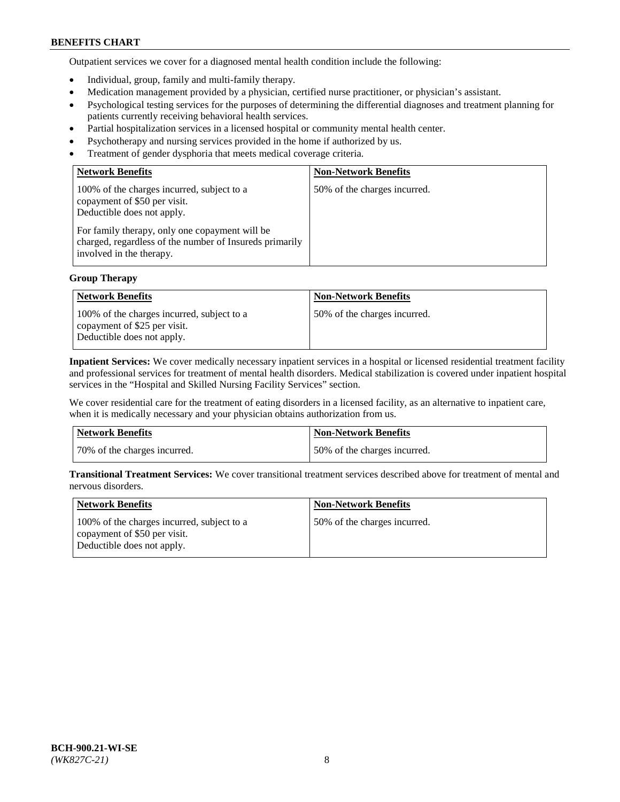Outpatient services we cover for a diagnosed mental health condition include the following:

- Individual, group, family and multi-family therapy.
- Medication management provided by a physician, certified nurse practitioner, or physician's assistant.
- Psychological testing services for the purposes of determining the differential diagnoses and treatment planning for patients currently receiving behavioral health services.
- Partial hospitalization services in a licensed hospital or community mental health center.
- Psychotherapy and nursing services provided in the home if authorized by us.
- Treatment of gender dysphoria that meets medical coverage criteria.

| <b>Network Benefits</b>                                                                                                                                                                                                                           | <b>Non-Network Benefits</b>  |
|---------------------------------------------------------------------------------------------------------------------------------------------------------------------------------------------------------------------------------------------------|------------------------------|
| 100% of the charges incurred, subject to a<br>copayment of \$50 per visit.<br>Deductible does not apply.<br>For family therapy, only one copayment will be<br>charged, regardless of the number of Insureds primarily<br>involved in the therapy. | 50% of the charges incurred. |

## **Group Therapy**

| <b>Network Benefits</b>                                                                                  | <b>Non-Network Benefits</b>  |
|----------------------------------------------------------------------------------------------------------|------------------------------|
| 100% of the charges incurred, subject to a<br>copayment of \$25 per visit.<br>Deductible does not apply. | 50% of the charges incurred. |

**Inpatient Services:** We cover medically necessary inpatient services in a hospital or licensed residential treatment facility and professional services for treatment of mental health disorders. Medical stabilization is covered under inpatient hospital services in the "Hospital and Skilled Nursing Facility Services" section.

We cover residential care for the treatment of eating disorders in a licensed facility, as an alternative to inpatient care, when it is medically necessary and your physician obtains authorization from us.

| Network Benefits             | Non-Network Benefits         |
|------------------------------|------------------------------|
| 70% of the charges incurred. | 50% of the charges incurred. |

**Transitional Treatment Services:** We cover transitional treatment services described above for treatment of mental and nervous disorders.

| Network Benefits                                                                                         | <b>Non-Network Benefits</b>  |
|----------------------------------------------------------------------------------------------------------|------------------------------|
| 100% of the charges incurred, subject to a<br>copayment of \$50 per visit.<br>Deductible does not apply. | 50% of the charges incurred. |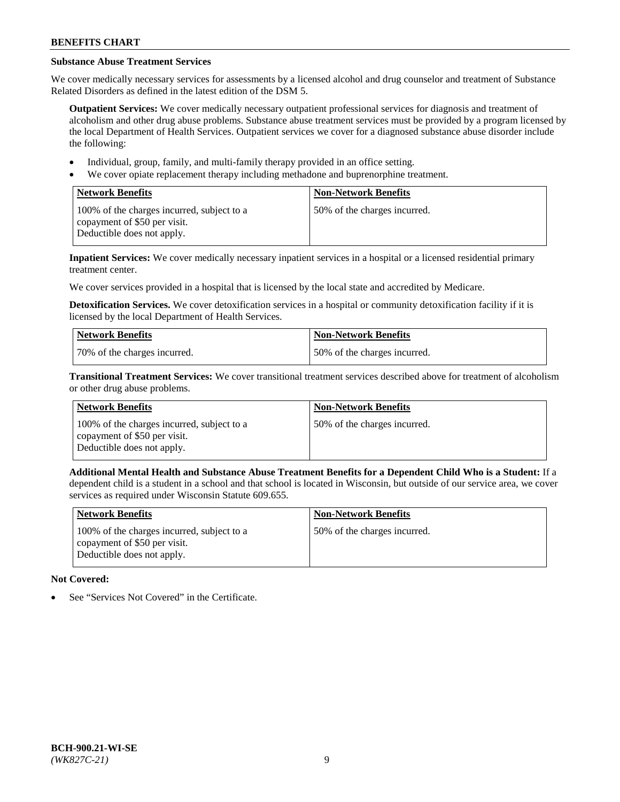# **Substance Abuse Treatment Services**

We cover medically necessary services for assessments by a licensed alcohol and drug counselor and treatment of Substance Related Disorders as defined in the latest edition of the DSM 5.

**Outpatient Services:** We cover medically necessary outpatient professional services for diagnosis and treatment of alcoholism and other drug abuse problems. Substance abuse treatment services must be provided by a program licensed by the local Department of Health Services. Outpatient services we cover for a diagnosed substance abuse disorder include the following:

- Individual, group, family, and multi-family therapy provided in an office setting.
- We cover opiate replacement therapy including methadone and buprenorphine treatment.

| <b>Network Benefits</b>                                                                                  | <b>Non-Network Benefits</b>  |
|----------------------------------------------------------------------------------------------------------|------------------------------|
| 100% of the charges incurred, subject to a<br>copayment of \$50 per visit.<br>Deductible does not apply. | 50% of the charges incurred. |

**Inpatient Services:** We cover medically necessary inpatient services in a hospital or a licensed residential primary treatment center.

We cover services provided in a hospital that is licensed by the local state and accredited by Medicare.

**Detoxification Services.** We cover detoxification services in a hospital or community detoxification facility if it is licensed by the local Department of Health Services.

| Network Benefits             | <b>Non-Network Benefits</b>  |
|------------------------------|------------------------------|
| 70% of the charges incurred. | 50% of the charges incurred. |

**Transitional Treatment Services:** We cover transitional treatment services described above for treatment of alcoholism or other drug abuse problems.

| <b>Network Benefits</b>                                                                                  | <b>Non-Network Benefits</b>  |
|----------------------------------------------------------------------------------------------------------|------------------------------|
| 100% of the charges incurred, subject to a<br>copayment of \$50 per visit.<br>Deductible does not apply. | 50% of the charges incurred. |

**Additional Mental Health and Substance Abuse Treatment Benefits for a Dependent Child Who is a Student:** If a dependent child is a student in a school and that school is located in Wisconsin, but outside of our service area, we cover services as required under Wisconsin Statute 609.655.

| <b>Network Benefits</b>                                                                                  | <b>Non-Network Benefits</b>  |
|----------------------------------------------------------------------------------------------------------|------------------------------|
| 100% of the charges incurred, subject to a<br>copayment of \$50 per visit.<br>Deductible does not apply. | 50% of the charges incurred. |

# **Not Covered:**

See "Services Not Covered" in the Certificate.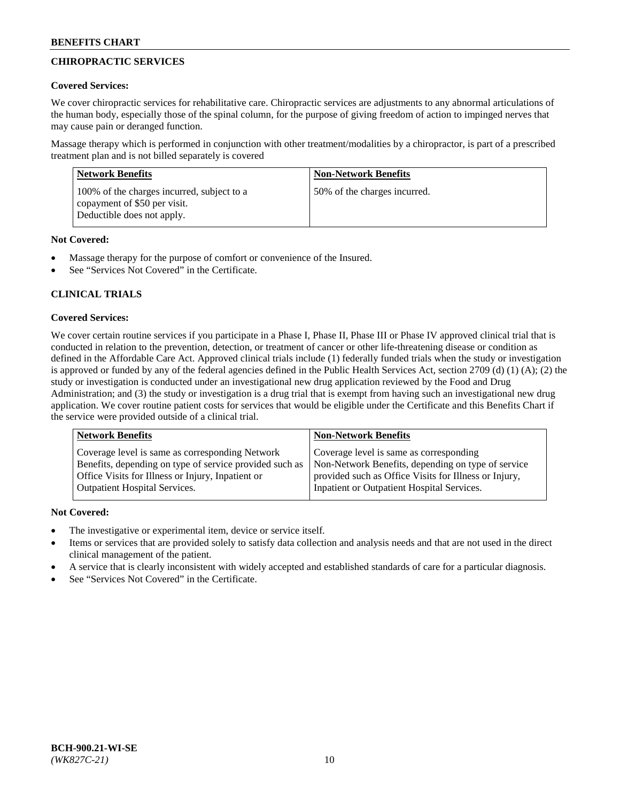# **CHIROPRACTIC SERVICES**

## **Covered Services:**

We cover chiropractic services for rehabilitative care. Chiropractic services are adjustments to any abnormal articulations of the human body, especially those of the spinal column, for the purpose of giving freedom of action to impinged nerves that may cause pain or deranged function.

Massage therapy which is performed in conjunction with other treatment/modalities by a chiropractor, is part of a prescribed treatment plan and is not billed separately is covered

| <b>Network Benefits</b>                                                                                  | <b>Non-Network Benefits</b>  |
|----------------------------------------------------------------------------------------------------------|------------------------------|
| 100% of the charges incurred, subject to a<br>copayment of \$50 per visit.<br>Deductible does not apply. | 50% of the charges incurred. |

## **Not Covered:**

- Massage therapy for the purpose of comfort or convenience of the Insured.
- See "Services Not Covered" in the Certificate.

# **CLINICAL TRIALS**

## **Covered Services:**

We cover certain routine services if you participate in a Phase I, Phase II, Phase III or Phase IV approved clinical trial that is conducted in relation to the prevention, detection, or treatment of cancer or other life-threatening disease or condition as defined in the Affordable Care Act. Approved clinical trials include (1) federally funded trials when the study or investigation is approved or funded by any of the federal agencies defined in the Public Health Services Act, section 2709 (d) (1) (A); (2) the study or investigation is conducted under an investigational new drug application reviewed by the Food and Drug Administration; and (3) the study or investigation is a drug trial that is exempt from having such an investigational new drug application. We cover routine patient costs for services that would be eligible under the Certificate and this Benefits Chart if the service were provided outside of a clinical trial.

| <b>Network Benefits</b>                                 | <b>Non-Network Benefits</b>                           |
|---------------------------------------------------------|-------------------------------------------------------|
| Coverage level is same as corresponding Network         | Coverage level is same as corresponding               |
| Benefits, depending on type of service provided such as | Non-Network Benefits, depending on type of service    |
| Office Visits for Illness or Injury, Inpatient or       | provided such as Office Visits for Illness or Injury, |
| <b>Outpatient Hospital Services.</b>                    | Inpatient or Outpatient Hospital Services.            |

# **Not Covered:**

- The investigative or experimental item, device or service itself.
- Items or services that are provided solely to satisfy data collection and analysis needs and that are not used in the direct clinical management of the patient.
- A service that is clearly inconsistent with widely accepted and established standards of care for a particular diagnosis.
- See "Services Not Covered" in the Certificate.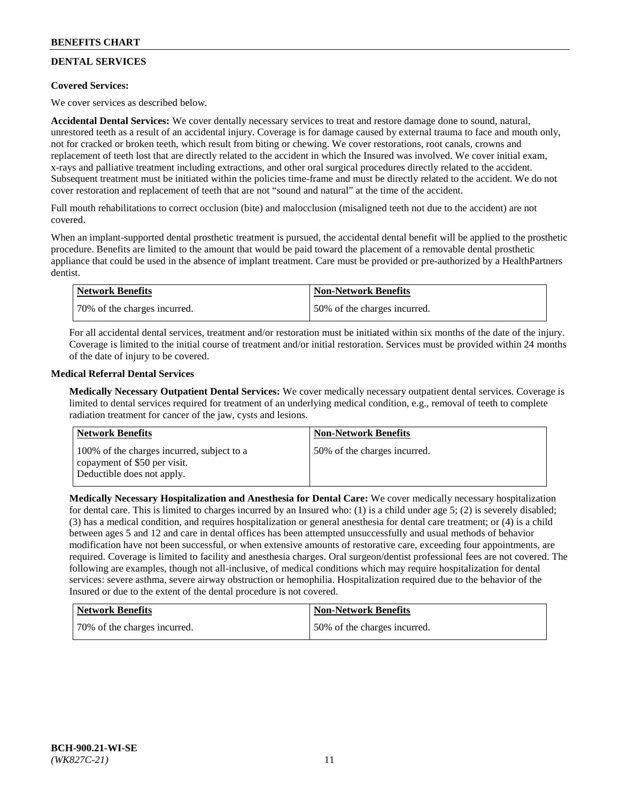# **DENTAL SERVICES**

## **Covered Services:**

We cover services as described below.

**Accidental Dental Services:** We cover dentally necessary services to treat and restore damage done to sound, natural, unrestored teeth as a result of an accidental injury. Coverage is for damage caused by external trauma to face and mouth only, not for cracked or broken teeth, which result from biting or chewing. We cover restorations, root canals, crowns and replacement of teeth lost that are directly related to the accident in which the Insured was involved. We cover initial exam, x-rays and palliative treatment including extractions, and other oral surgical procedures directly related to the accident. Subsequent treatment must be initiated within the policies time-frame and must be directly related to the accident. We do not cover restoration and replacement of teeth that are not "sound and natural" at the time of the accident.

Full mouth rehabilitations to correct occlusion (bite) and malocclusion (misaligned teeth not due to the accident) are not covered.

When an implant-supported dental prosthetic treatment is pursued, the accidental dental benefit will be applied to the prosthetic procedure. Benefits are limited to the amount that would be paid toward the placement of a removable dental prosthetic appliance that could be used in the absence of implant treatment. Care must be provided or pre-authorized by a HealthPartners dentist.

| <b>Network Benefits</b>      | <b>Non-Network Benefits</b>  |
|------------------------------|------------------------------|
| 70% of the charges incurred. | 50% of the charges incurred. |

For all accidental dental services, treatment and/or restoration must be initiated within six months of the date of the injury. Coverage is limited to the initial course of treatment and/or initial restoration. Services must be provided within 24 months of the date of injury to be covered.

## **Medical Referral Dental Services**

**Medically Necessary Outpatient Dental Services:** We cover medically necessary outpatient dental services. Coverage is limited to dental services required for treatment of an underlying medical condition, e.g., removal of teeth to complete radiation treatment for cancer of the jaw, cysts and lesions.

| Network Benefits                                                                                         | <b>Non-Network Benefits</b>  |
|----------------------------------------------------------------------------------------------------------|------------------------------|
| 100% of the charges incurred, subject to a<br>copayment of \$50 per visit.<br>Deductible does not apply. | 50% of the charges incurred. |

**Medically Necessary Hospitalization and Anesthesia for Dental Care:** We cover medically necessary hospitalization for dental care. This is limited to charges incurred by an Insured who: (1) is a child under age 5; (2) is severely disabled; (3) has a medical condition, and requires hospitalization or general anesthesia for dental care treatment; or (4) is a child between ages 5 and 12 and care in dental offices has been attempted unsuccessfully and usual methods of behavior modification have not been successful, or when extensive amounts of restorative care, exceeding four appointments, are required. Coverage is limited to facility and anesthesia charges. Oral surgeon/dentist professional fees are not covered. The following are examples, though not all-inclusive, of medical conditions which may require hospitalization for dental services: severe asthma, severe airway obstruction or hemophilia. Hospitalization required due to the behavior of the Insured or due to the extent of the dental procedure is not covered.

| Network Benefits             | Non-Network Benefits         |
|------------------------------|------------------------------|
| 70% of the charges incurred. | 50% of the charges incurred. |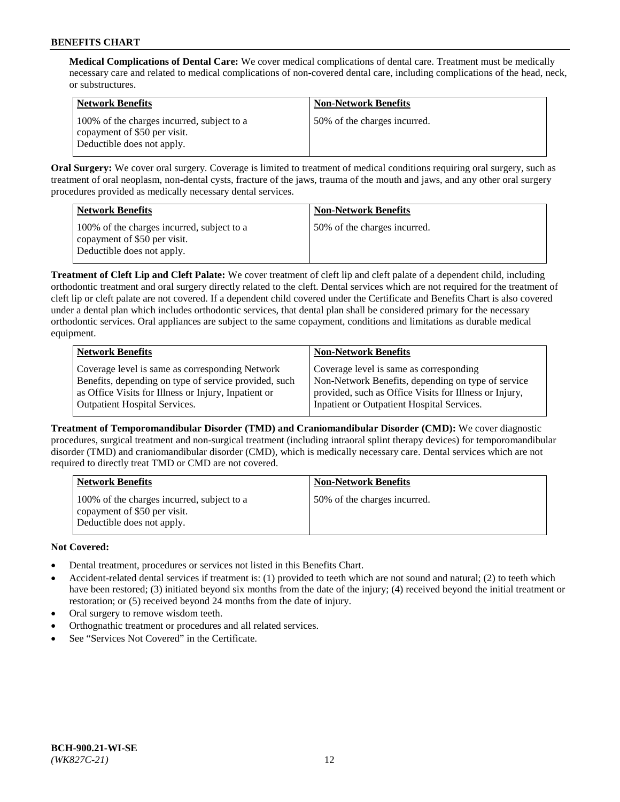**Medical Complications of Dental Care:** We cover medical complications of dental care. Treatment must be medically necessary care and related to medical complications of non-covered dental care, including complications of the head, neck, or substructures.

| <b>Network Benefits</b>                                                                                  | <b>Non-Network Benefits</b>  |
|----------------------------------------------------------------------------------------------------------|------------------------------|
| 100% of the charges incurred, subject to a<br>copayment of \$50 per visit.<br>Deductible does not apply. | 50% of the charges incurred. |

**Oral Surgery:** We cover oral surgery. Coverage is limited to treatment of medical conditions requiring oral surgery, such as treatment of oral neoplasm, non-dental cysts, fracture of the jaws, trauma of the mouth and jaws, and any other oral surgery procedures provided as medically necessary dental services.

| <b>Network Benefits</b>                                                                                  | <b>Non-Network Benefits</b>  |
|----------------------------------------------------------------------------------------------------------|------------------------------|
| 100% of the charges incurred, subject to a<br>copayment of \$50 per visit.<br>Deductible does not apply. | 50% of the charges incurred. |

**Treatment of Cleft Lip and Cleft Palate:** We cover treatment of cleft lip and cleft palate of a dependent child, including orthodontic treatment and oral surgery directly related to the cleft. Dental services which are not required for the treatment of cleft lip or cleft palate are not covered. If a dependent child covered under the Certificate and Benefits Chart is also covered under a dental plan which includes orthodontic services, that dental plan shall be considered primary for the necessary orthodontic services. Oral appliances are subject to the same copayment, conditions and limitations as durable medical equipment.

| <b>Network Benefits</b>                               | <b>Non-Network Benefits</b>                            |
|-------------------------------------------------------|--------------------------------------------------------|
| Coverage level is same as corresponding Network       | Coverage level is same as corresponding                |
| Benefits, depending on type of service provided, such | Non-Network Benefits, depending on type of service     |
| as Office Visits for Illness or Injury, Inpatient or  | provided, such as Office Visits for Illness or Injury, |
| Outpatient Hospital Services.                         | Inpatient or Outpatient Hospital Services.             |

**Treatment of Temporomandibular Disorder (TMD) and Craniomandibular Disorder (CMD):** We cover diagnostic procedures, surgical treatment and non-surgical treatment (including intraoral splint therapy devices) for temporomandibular disorder (TMD) and craniomandibular disorder (CMD), which is medically necessary care. Dental services which are not required to directly treat TMD or CMD are not covered.

| <b>Network Benefits</b>                                                                                  | <b>Non-Network Benefits</b>  |
|----------------------------------------------------------------------------------------------------------|------------------------------|
| 100% of the charges incurred, subject to a<br>copayment of \$50 per visit.<br>Deductible does not apply. | 50% of the charges incurred. |

# **Not Covered:**

- Dental treatment, procedures or services not listed in this Benefits Chart.
- Accident-related dental services if treatment is: (1) provided to teeth which are not sound and natural; (2) to teeth which have been restored; (3) initiated beyond six months from the date of the injury; (4) received beyond the initial treatment or restoration; or (5) received beyond 24 months from the date of injury.
- Oral surgery to remove wisdom teeth.
- Orthognathic treatment or procedures and all related services.
- See "Services Not Covered" in the Certificate.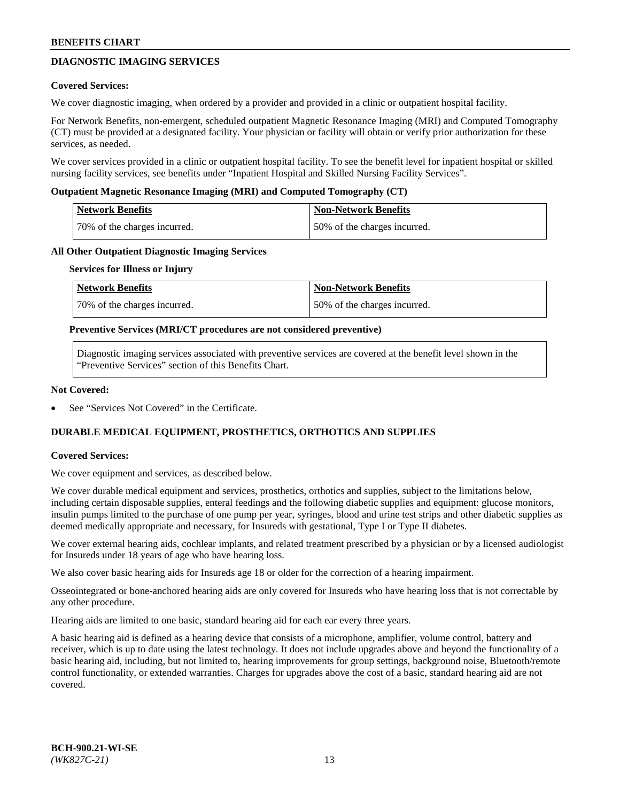# **DIAGNOSTIC IMAGING SERVICES**

### **Covered Services:**

We cover diagnostic imaging, when ordered by a provider and provided in a clinic or outpatient hospital facility.

For Network Benefits, non-emergent, scheduled outpatient Magnetic Resonance Imaging (MRI) and Computed Tomography (CT) must be provided at a designated facility. Your physician or facility will obtain or verify prior authorization for these services, as needed.

We cover services provided in a clinic or outpatient hospital facility. To see the benefit level for inpatient hospital or skilled nursing facility services, see benefits under "Inpatient Hospital and Skilled Nursing Facility Services".

### **Outpatient Magnetic Resonance Imaging (MRI) and Computed Tomography (CT)**

| <b>Network Benefits</b>      | <b>Non-Network Benefits</b>  |
|------------------------------|------------------------------|
| 70% of the charges incurred. | 50% of the charges incurred. |

### **All Other Outpatient Diagnostic Imaging Services**

#### **Services for Illness or Injury**

| Network Benefits             | <b>Non-Network Benefits</b>  |
|------------------------------|------------------------------|
| 70% of the charges incurred. | 50% of the charges incurred. |

### **Preventive Services (MRI/CT procedures are not considered preventive)**

Diagnostic imaging services associated with preventive services are covered at the benefit level shown in the "Preventive Services" section of this Benefits Chart.

### **Not Covered:**

See "Services Not Covered" in the Certificate.

# **DURABLE MEDICAL EQUIPMENT, PROSTHETICS, ORTHOTICS AND SUPPLIES**

#### **Covered Services:**

We cover equipment and services, as described below.

We cover durable medical equipment and services, prosthetics, orthotics and supplies, subject to the limitations below, including certain disposable supplies, enteral feedings and the following diabetic supplies and equipment: glucose monitors, insulin pumps limited to the purchase of one pump per year, syringes, blood and urine test strips and other diabetic supplies as deemed medically appropriate and necessary, for Insureds with gestational, Type I or Type II diabetes.

We cover external hearing aids, cochlear implants, and related treatment prescribed by a physician or by a licensed audiologist for Insureds under 18 years of age who have hearing loss.

We also cover basic hearing aids for Insureds age 18 or older for the correction of a hearing impairment.

Osseointegrated or bone-anchored hearing aids are only covered for Insureds who have hearing loss that is not correctable by any other procedure.

Hearing aids are limited to one basic, standard hearing aid for each ear every three years.

A basic hearing aid is defined as a hearing device that consists of a microphone, amplifier, volume control, battery and receiver, which is up to date using the latest technology. It does not include upgrades above and beyond the functionality of a basic hearing aid, including, but not limited to, hearing improvements for group settings, background noise, Bluetooth/remote control functionality, or extended warranties. Charges for upgrades above the cost of a basic, standard hearing aid are not covered.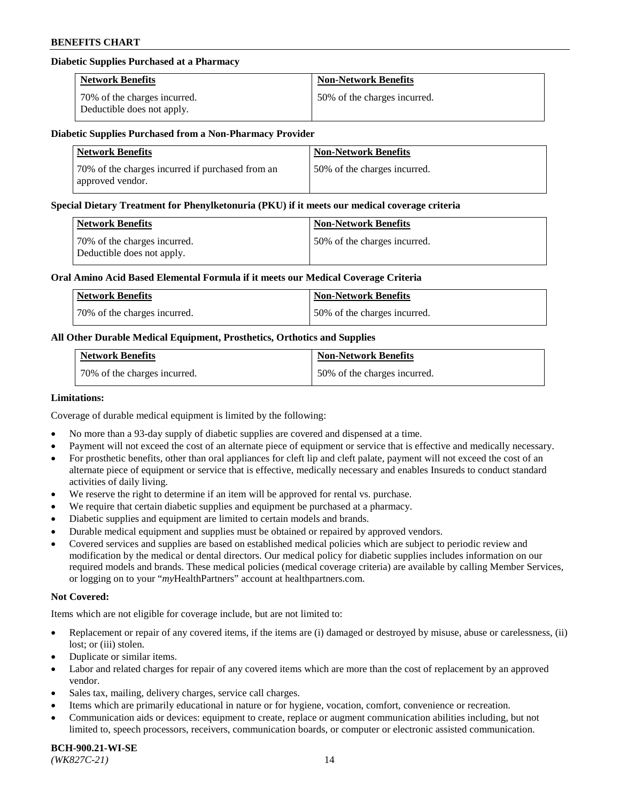## **Diabetic Supplies Purchased at a Pharmacy**

| <b>Network Benefits</b>                                    | <b>Non-Network Benefits</b>  |
|------------------------------------------------------------|------------------------------|
| 70% of the charges incurred.<br>Deductible does not apply. | 50% of the charges incurred. |

#### **Diabetic Supplies Purchased from a Non-Pharmacy Provider**

| <b>Network Benefits</b>                                              | <b>Non-Network Benefits</b>  |
|----------------------------------------------------------------------|------------------------------|
| 70% of the charges incurred if purchased from an<br>approved vendor. | 50% of the charges incurred. |

#### **Special Dietary Treatment for Phenylketonuria (PKU) if it meets our medical coverage criteria**

| Network Benefits                                           | <b>Non-Network Benefits</b>  |
|------------------------------------------------------------|------------------------------|
| 70% of the charges incurred.<br>Deductible does not apply. | 50% of the charges incurred. |

### **Oral Amino Acid Based Elemental Formula if it meets our Medical Coverage Criteria**

| Network Benefits             | <b>Non-Network Benefits</b>  |
|------------------------------|------------------------------|
| 70% of the charges incurred. | 50% of the charges incurred. |

## **All Other Durable Medical Equipment, Prosthetics, Orthotics and Supplies**

| <b>Network Benefits</b>      | <b>Non-Network Benefits</b>  |
|------------------------------|------------------------------|
| 70% of the charges incurred. | 50% of the charges incurred. |

#### **Limitations:**

Coverage of durable medical equipment is limited by the following:

- No more than a 93-day supply of diabetic supplies are covered and dispensed at a time.
- Payment will not exceed the cost of an alternate piece of equipment or service that is effective and medically necessary.
- For prosthetic benefits, other than oral appliances for cleft lip and cleft palate, payment will not exceed the cost of an alternate piece of equipment or service that is effective, medically necessary and enables Insureds to conduct standard
- activities of daily living. We reserve the right to determine if an item will be approved for rental vs. purchase.
- We require that certain diabetic supplies and equipment be purchased at a pharmacy.
- Diabetic supplies and equipment are limited to certain models and brands.
- Durable medical equipment and supplies must be obtained or repaired by approved vendors.
- Covered services and supplies are based on established medical policies which are subject to periodic review and modification by the medical or dental directors. Our medical policy for diabetic supplies includes information on our required models and brands. These medical policies (medical coverage criteria) are available by calling Member Services, or logging on to your "*my*HealthPartners" account a[t healthpartners.com.](https://www.healthpartners.com/hp/index.html)

## **Not Covered:**

Items which are not eligible for coverage include, but are not limited to:

- Replacement or repair of any covered items, if the items are (i) damaged or destroyed by misuse, abuse or carelessness, (ii) lost; or (iii) stolen.
- Duplicate or similar items.
- Labor and related charges for repair of any covered items which are more than the cost of replacement by an approved vendor.
- Sales tax, mailing, delivery charges, service call charges.
- Items which are primarily educational in nature or for hygiene, vocation, comfort, convenience or recreation.
- Communication aids or devices: equipment to create, replace or augment communication abilities including, but not limited to, speech processors, receivers, communication boards, or computer or electronic assisted communication.

#### **BCH-900.21-WI-SE**  *(WK827C-21)* 14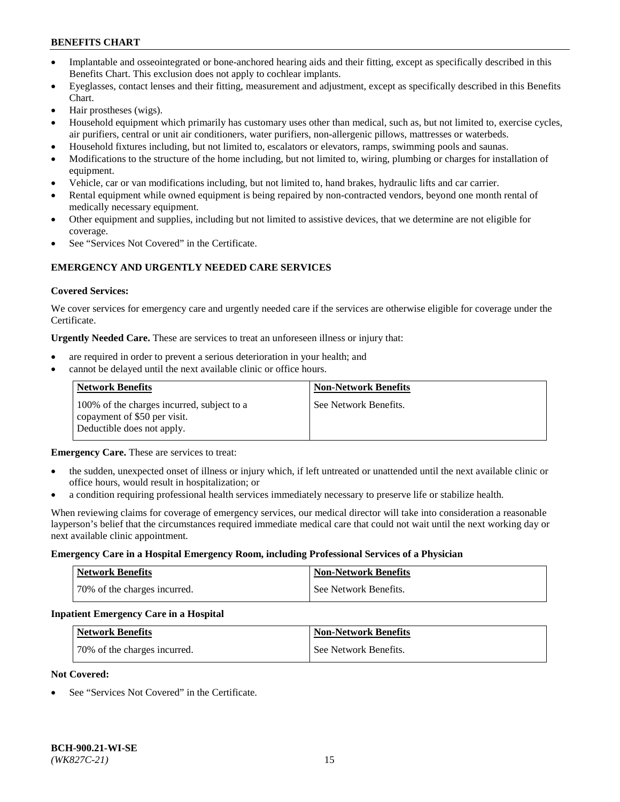- Implantable and osseointegrated or bone-anchored hearing aids and their fitting, except as specifically described in this Benefits Chart. This exclusion does not apply to cochlear implants.
- Eyeglasses, contact lenses and their fitting, measurement and adjustment, except as specifically described in this Benefits Chart.
- Hair prostheses (wigs).
- Household equipment which primarily has customary uses other than medical, such as, but not limited to, exercise cycles, air purifiers, central or unit air conditioners, water purifiers, non-allergenic pillows, mattresses or waterbeds.
- Household fixtures including, but not limited to, escalators or elevators, ramps, swimming pools and saunas.
- Modifications to the structure of the home including, but not limited to, wiring, plumbing or charges for installation of equipment.
- Vehicle, car or van modifications including, but not limited to, hand brakes, hydraulic lifts and car carrier.
- Rental equipment while owned equipment is being repaired by non-contracted vendors, beyond one month rental of medically necessary equipment.
- Other equipment and supplies, including but not limited to assistive devices, that we determine are not eligible for coverage.
- See "Services Not Covered" in the Certificate.

## **EMERGENCY AND URGENTLY NEEDED CARE SERVICES**

### **Covered Services:**

We cover services for emergency care and urgently needed care if the services are otherwise eligible for coverage under the Certificate.

**Urgently Needed Care.** These are services to treat an unforeseen illness or injury that:

- are required in order to prevent a serious deterioration in your health; and
- cannot be delayed until the next available clinic or office hours.

| <b>Network Benefits</b>                                                                                  | <b>Non-Network Benefits</b> |
|----------------------------------------------------------------------------------------------------------|-----------------------------|
| 100% of the charges incurred, subject to a<br>copayment of \$50 per visit.<br>Deductible does not apply. | See Network Benefits.       |

**Emergency Care.** These are services to treat:

- the sudden, unexpected onset of illness or injury which, if left untreated or unattended until the next available clinic or office hours, would result in hospitalization; or
- a condition requiring professional health services immediately necessary to preserve life or stabilize health.

When reviewing claims for coverage of emergency services, our medical director will take into consideration a reasonable layperson's belief that the circumstances required immediate medical care that could not wait until the next working day or next available clinic appointment.

#### **Emergency Care in a Hospital Emergency Room, including Professional Services of a Physician**

| <b>Network Benefits</b>      | <b>Non-Network Benefits</b> |
|------------------------------|-----------------------------|
| 70% of the charges incurred. | See Network Benefits.       |

#### **Inpatient Emergency Care in a Hospital**

| <b>Network Benefits</b>      | <b>Non-Network Benefits</b> |
|------------------------------|-----------------------------|
| 70% of the charges incurred. | See Network Benefits.       |

## **Not Covered:**

See "Services Not Covered" in the Certificate.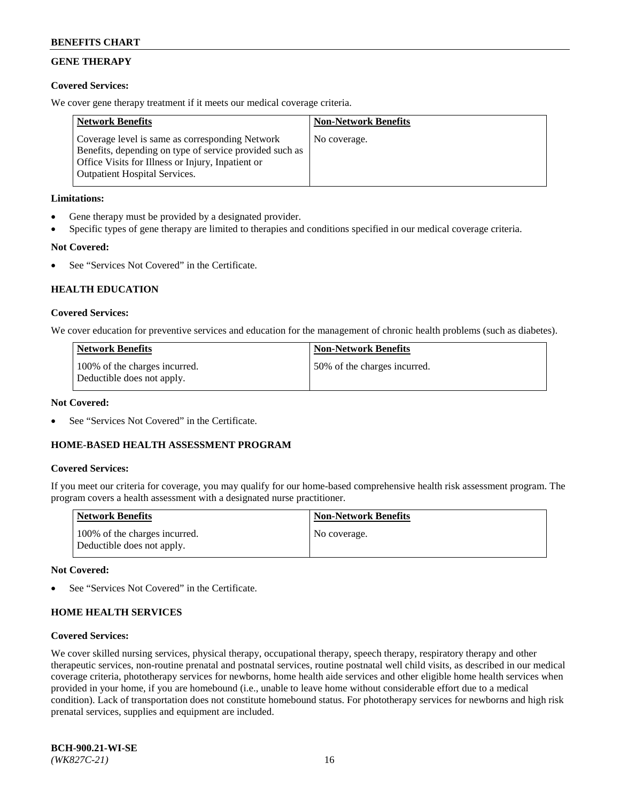# **GENE THERAPY**

## **Covered Services:**

We cover gene therapy treatment if it meets our medical coverage criteria.

| <b>Network Benefits</b>                                                                                                                                                                                 | <b>Non-Network Benefits</b> |
|---------------------------------------------------------------------------------------------------------------------------------------------------------------------------------------------------------|-----------------------------|
| Coverage level is same as corresponding Network<br>Benefits, depending on type of service provided such as<br>Office Visits for Illness or Injury, Inpatient or<br><b>Outpatient Hospital Services.</b> | No coverage.                |

## **Limitations:**

- Gene therapy must be provided by a designated provider.
- Specific types of gene therapy are limited to therapies and conditions specified in our medical coverage criteria.

# **Not Covered:**

See "Services Not Covered" in the Certificate.

## **HEALTH EDUCATION**

## **Covered Services:**

We cover education for preventive services and education for the management of chronic health problems (such as diabetes).

| <b>Network Benefits</b>                                     | <b>Non-Network Benefits</b>  |
|-------------------------------------------------------------|------------------------------|
| 100% of the charges incurred.<br>Deductible does not apply. | 50% of the charges incurred. |

## **Not Covered:**

See "Services Not Covered" in the Certificate.

## **HOME-BASED HEALTH ASSESSMENT PROGRAM**

## **Covered Services:**

If you meet our criteria for coverage, you may qualify for our home-based comprehensive health risk assessment program. The program covers a health assessment with a designated nurse practitioner.

| Network Benefits                                            | <b>Non-Network Benefits</b> |
|-------------------------------------------------------------|-----------------------------|
| 100% of the charges incurred.<br>Deductible does not apply. | No coverage.                |

#### **Not Covered:**

See "Services Not Covered" in the Certificate.

## **HOME HEALTH SERVICES**

#### **Covered Services:**

We cover skilled nursing services, physical therapy, occupational therapy, speech therapy, respiratory therapy and other therapeutic services, non-routine prenatal and postnatal services, routine postnatal well child visits, as described in our medical coverage criteria, phototherapy services for newborns, home health aide services and other eligible home health services when provided in your home, if you are homebound (i.e., unable to leave home without considerable effort due to a medical condition). Lack of transportation does not constitute homebound status. For phototherapy services for newborns and high risk prenatal services, supplies and equipment are included.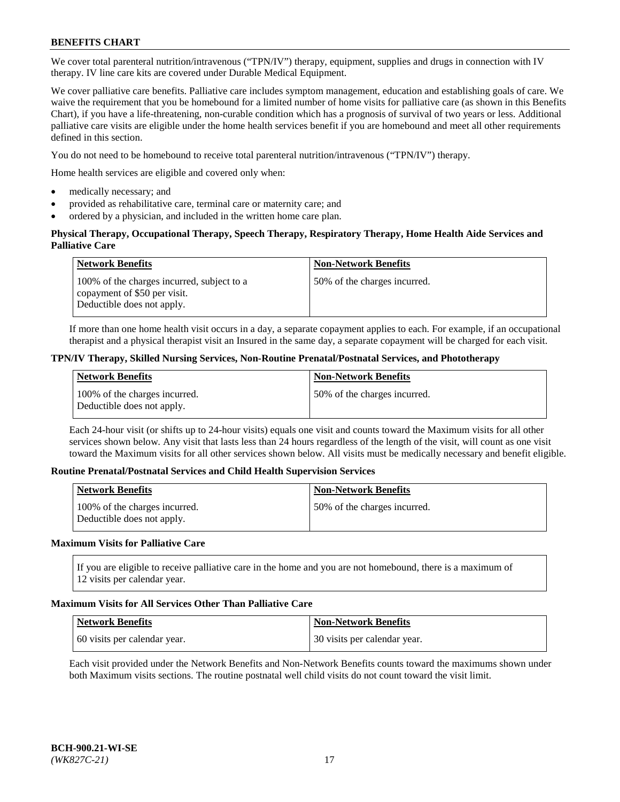We cover total parenteral nutrition/intravenous ("TPN/IV") therapy, equipment, supplies and drugs in connection with IV therapy. IV line care kits are covered under Durable Medical Equipment.

We cover palliative care benefits. Palliative care includes symptom management, education and establishing goals of care. We waive the requirement that you be homebound for a limited number of home visits for palliative care (as shown in this Benefits Chart), if you have a life-threatening, non-curable condition which has a prognosis of survival of two years or less. Additional palliative care visits are eligible under the home health services benefit if you are homebound and meet all other requirements defined in this section.

You do not need to be homebound to receive total parenteral nutrition/intravenous ("TPN/IV") therapy.

Home health services are eligible and covered only when:

- medically necessary; and
- provided as rehabilitative care, terminal care or maternity care; and
- ordered by a physician, and included in the written home care plan.

## **Physical Therapy, Occupational Therapy, Speech Therapy, Respiratory Therapy, Home Health Aide Services and Palliative Care**

| <b>Network Benefits</b>                                                                                  | <b>Non-Network Benefits</b>  |
|----------------------------------------------------------------------------------------------------------|------------------------------|
| 100% of the charges incurred, subject to a<br>copayment of \$50 per visit.<br>Deductible does not apply. | 50% of the charges incurred. |

If more than one home health visit occurs in a day, a separate copayment applies to each. For example, if an occupational therapist and a physical therapist visit an Insured in the same day, a separate copayment will be charged for each visit.

### **TPN/IV Therapy, Skilled Nursing Services, Non-Routine Prenatal/Postnatal Services, and Phototherapy**

| Network Benefits                                            | <b>Non-Network Benefits</b>  |
|-------------------------------------------------------------|------------------------------|
| 100% of the charges incurred.<br>Deductible does not apply. | 50% of the charges incurred. |

Each 24-hour visit (or shifts up to 24-hour visits) equals one visit and counts toward the Maximum visits for all other services shown below. Any visit that lasts less than 24 hours regardless of the length of the visit, will count as one visit toward the Maximum visits for all other services shown below. All visits must be medically necessary and benefit eligible.

#### **Routine Prenatal/Postnatal Services and Child Health Supervision Services**

| <b>Network Benefits</b>                                     | <b>Non-Network Benefits</b>   |
|-------------------------------------------------------------|-------------------------------|
| 100% of the charges incurred.<br>Deductible does not apply. | 150% of the charges incurred. |

## **Maximum Visits for Palliative Care**

If you are eligible to receive palliative care in the home and you are not homebound, there is a maximum of 12 visits per calendar year.

#### **Maximum Visits for All Services Other Than Palliative Care**

| Network Benefits             | <b>Non-Network Benefits</b>  |
|------------------------------|------------------------------|
| 60 visits per calendar year. | 30 visits per calendar year. |

Each visit provided under the Network Benefits and Non-Network Benefits counts toward the maximums shown under both Maximum visits sections. The routine postnatal well child visits do not count toward the visit limit.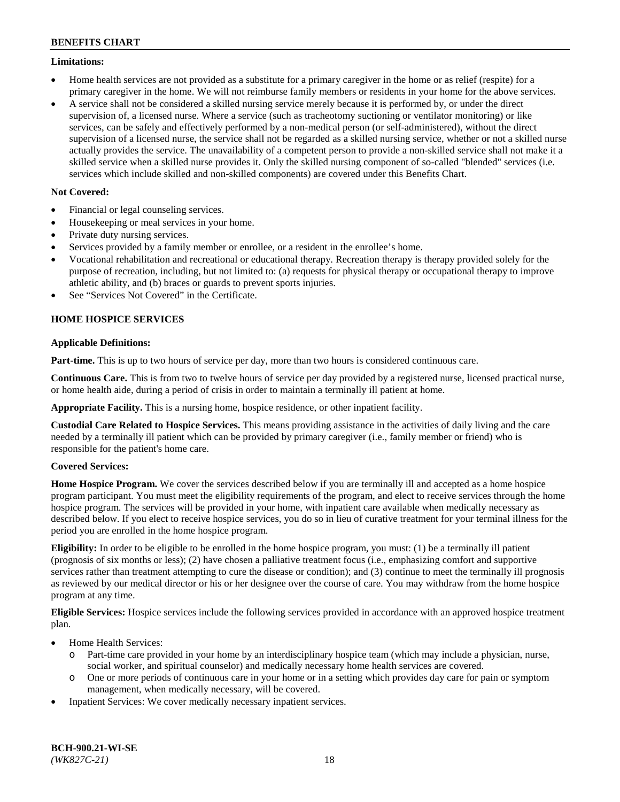## **Limitations:**

- Home health services are not provided as a substitute for a primary caregiver in the home or as relief (respite) for a primary caregiver in the home. We will not reimburse family members or residents in your home for the above services.
- A service shall not be considered a skilled nursing service merely because it is performed by, or under the direct supervision of, a licensed nurse. Where a service (such as tracheotomy suctioning or ventilator monitoring) or like services, can be safely and effectively performed by a non-medical person (or self-administered), without the direct supervision of a licensed nurse, the service shall not be regarded as a skilled nursing service, whether or not a skilled nurse actually provides the service. The unavailability of a competent person to provide a non-skilled service shall not make it a skilled service when a skilled nurse provides it. Only the skilled nursing component of so-called "blended" services (i.e. services which include skilled and non-skilled components) are covered under this Benefits Chart.

## **Not Covered:**

- Financial or legal counseling services.
- Housekeeping or meal services in your home.
- Private duty nursing services.
- Services provided by a family member or enrollee, or a resident in the enrollee's home.
- Vocational rehabilitation and recreational or educational therapy. Recreation therapy is therapy provided solely for the purpose of recreation, including, but not limited to: (a) requests for physical therapy or occupational therapy to improve athletic ability, and (b) braces or guards to prevent sports injuries.
- See "Services Not Covered" in the Certificate.

## **HOME HOSPICE SERVICES**

## **Applicable Definitions:**

**Part-time.** This is up to two hours of service per day, more than two hours is considered continuous care.

**Continuous Care.** This is from two to twelve hours of service per day provided by a registered nurse, licensed practical nurse, or home health aide, during a period of crisis in order to maintain a terminally ill patient at home.

**Appropriate Facility.** This is a nursing home, hospice residence, or other inpatient facility.

**Custodial Care Related to Hospice Services.** This means providing assistance in the activities of daily living and the care needed by a terminally ill patient which can be provided by primary caregiver (i.e., family member or friend) who is responsible for the patient's home care.

## **Covered Services:**

**Home Hospice Program.** We cover the services described below if you are terminally ill and accepted as a home hospice program participant. You must meet the eligibility requirements of the program, and elect to receive services through the home hospice program. The services will be provided in your home, with inpatient care available when medically necessary as described below. If you elect to receive hospice services, you do so in lieu of curative treatment for your terminal illness for the period you are enrolled in the home hospice program.

**Eligibility:** In order to be eligible to be enrolled in the home hospice program, you must: (1) be a terminally ill patient (prognosis of six months or less); (2) have chosen a palliative treatment focus (i.e., emphasizing comfort and supportive services rather than treatment attempting to cure the disease or condition); and (3) continue to meet the terminally ill prognosis as reviewed by our medical director or his or her designee over the course of care. You may withdraw from the home hospice program at any time.

**Eligible Services:** Hospice services include the following services provided in accordance with an approved hospice treatment plan.

- Home Health Services:
	- o Part-time care provided in your home by an interdisciplinary hospice team (which may include a physician, nurse, social worker, and spiritual counselor) and medically necessary home health services are covered.
	- o One or more periods of continuous care in your home or in a setting which provides day care for pain or symptom management, when medically necessary, will be covered.
- Inpatient Services: We cover medically necessary inpatient services.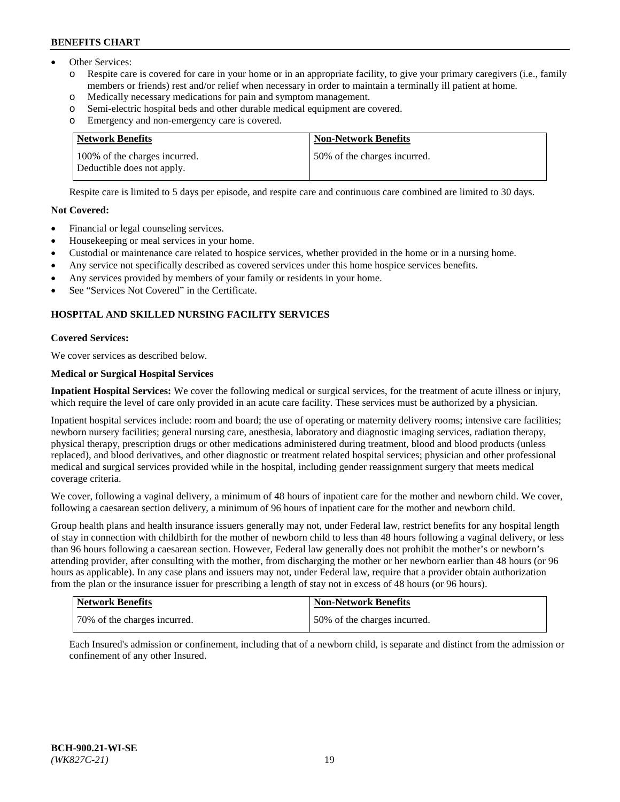- Other Services:
	- Respite care is covered for care in your home or in an appropriate facility, to give your primary caregivers (i.e., family members or friends) rest and/or relief when necessary in order to maintain a terminally ill patient at home.
	- o Medically necessary medications for pain and symptom management.
	- o Semi-electric hospital beds and other durable medical equipment are covered.
	- Emergency and non-emergency care is covered.

| Network Benefits                                            | <b>Non-Network Benefits</b>  |
|-------------------------------------------------------------|------------------------------|
| 100% of the charges incurred.<br>Deductible does not apply. | 50% of the charges incurred. |

Respite care is limited to 5 days per episode, and respite care and continuous care combined are limited to 30 days.

### **Not Covered:**

- Financial or legal counseling services.
- Housekeeping or meal services in your home.
- Custodial or maintenance care related to hospice services, whether provided in the home or in a nursing home.
- Any service not specifically described as covered services under this home hospice services benefits.
- Any services provided by members of your family or residents in your home.
- See "Services Not Covered" in the Certificate.

## **HOSPITAL AND SKILLED NURSING FACILITY SERVICES**

#### **Covered Services:**

We cover services as described below.

## **Medical or Surgical Hospital Services**

**Inpatient Hospital Services:** We cover the following medical or surgical services, for the treatment of acute illness or injury, which require the level of care only provided in an acute care facility. These services must be authorized by a physician.

Inpatient hospital services include: room and board; the use of operating or maternity delivery rooms; intensive care facilities; newborn nursery facilities; general nursing care, anesthesia, laboratory and diagnostic imaging services, radiation therapy, physical therapy, prescription drugs or other medications administered during treatment, blood and blood products (unless replaced), and blood derivatives, and other diagnostic or treatment related hospital services; physician and other professional medical and surgical services provided while in the hospital, including gender reassignment surgery that meets medical coverage criteria.

We cover, following a vaginal delivery, a minimum of 48 hours of inpatient care for the mother and newborn child. We cover, following a caesarean section delivery, a minimum of 96 hours of inpatient care for the mother and newborn child.

Group health plans and health insurance issuers generally may not, under Federal law, restrict benefits for any hospital length of stay in connection with childbirth for the mother of newborn child to less than 48 hours following a vaginal delivery, or less than 96 hours following a caesarean section. However, Federal law generally does not prohibit the mother's or newborn's attending provider, after consulting with the mother, from discharging the mother or her newborn earlier than 48 hours (or 96 hours as applicable). In any case plans and issuers may not, under Federal law, require that a provider obtain authorization from the plan or the insurance issuer for prescribing a length of stay not in excess of 48 hours (or 96 hours).

| Network Benefits             | Non-Network Benefits         |
|------------------------------|------------------------------|
| 70% of the charges incurred. | 50% of the charges incurred. |

Each Insured's admission or confinement, including that of a newborn child, is separate and distinct from the admission or confinement of any other Insured.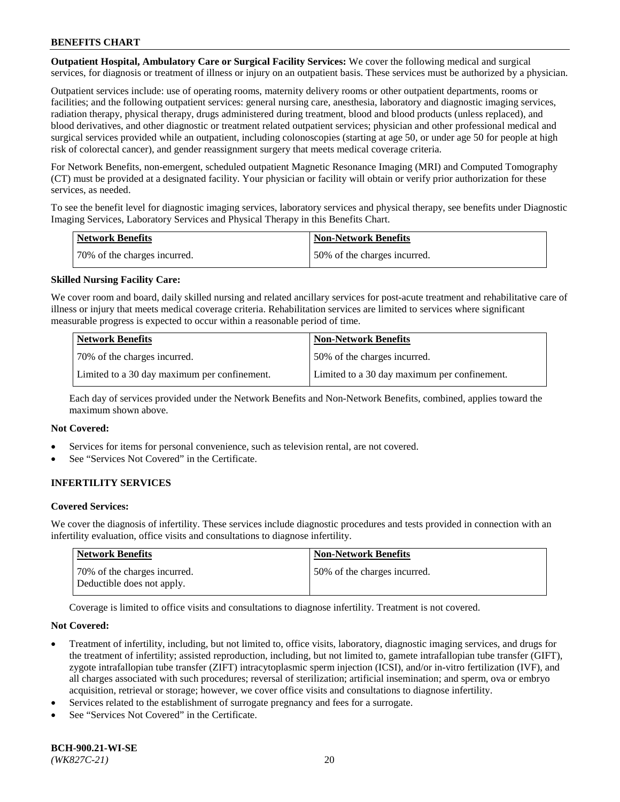**Outpatient Hospital, Ambulatory Care or Surgical Facility Services:** We cover the following medical and surgical services, for diagnosis or treatment of illness or injury on an outpatient basis. These services must be authorized by a physician.

Outpatient services include: use of operating rooms, maternity delivery rooms or other outpatient departments, rooms or facilities; and the following outpatient services: general nursing care, anesthesia, laboratory and diagnostic imaging services, radiation therapy, physical therapy, drugs administered during treatment, blood and blood products (unless replaced), and blood derivatives, and other diagnostic or treatment related outpatient services; physician and other professional medical and surgical services provided while an outpatient, including colonoscopies (starting at age 50, or under age 50 for people at high risk of colorectal cancer), and gender reassignment surgery that meets medical coverage criteria.

For Network Benefits, non-emergent, scheduled outpatient Magnetic Resonance Imaging (MRI) and Computed Tomography (CT) must be provided at a designated facility. Your physician or facility will obtain or verify prior authorization for these services, as needed.

To see the benefit level for diagnostic imaging services, laboratory services and physical therapy, see benefits under Diagnostic Imaging Services, Laboratory Services and Physical Therapy in this Benefits Chart.

| <b>Network Benefits</b>      | <b>Non-Network Benefits</b>  |
|------------------------------|------------------------------|
| 70% of the charges incurred. | 50% of the charges incurred. |

## **Skilled Nursing Facility Care:**

We cover room and board, daily skilled nursing and related ancillary services for post-acute treatment and rehabilitative care of illness or injury that meets medical coverage criteria. Rehabilitation services are limited to services where significant measurable progress is expected to occur within a reasonable period of time.

| Network Benefits                             | <b>Non-Network Benefits</b>                  |
|----------------------------------------------|----------------------------------------------|
| 70% of the charges incurred.                 | 50% of the charges incurred.                 |
| Limited to a 30 day maximum per confinement. | Limited to a 30 day maximum per confinement. |

Each day of services provided under the Network Benefits and Non-Network Benefits, combined, applies toward the maximum shown above.

#### **Not Covered:**

- Services for items for personal convenience, such as television rental, are not covered.
- See "Services Not Covered" in the Certificate.

## **INFERTILITY SERVICES**

#### **Covered Services:**

We cover the diagnosis of infertility. These services include diagnostic procedures and tests provided in connection with an infertility evaluation, office visits and consultations to diagnose infertility.

| Network Benefits                                           | <b>Non-Network Benefits</b>  |
|------------------------------------------------------------|------------------------------|
| 70% of the charges incurred.<br>Deductible does not apply. | 50% of the charges incurred. |

Coverage is limited to office visits and consultations to diagnose infertility. Treatment is not covered.

#### **Not Covered:**

- Treatment of infertility, including, but not limited to, office visits, laboratory, diagnostic imaging services, and drugs for the treatment of infertility; assisted reproduction, including, but not limited to, gamete intrafallopian tube transfer (GIFT), zygote intrafallopian tube transfer (ZIFT) intracytoplasmic sperm injection (ICSI), and/or in-vitro fertilization (IVF), and all charges associated with such procedures; reversal of sterilization; artificial insemination; and sperm, ova or embryo acquisition, retrieval or storage; however, we cover office visits and consultations to diagnose infertility.
- Services related to the establishment of surrogate pregnancy and fees for a surrogate.
- See "Services Not Covered" in the Certificate.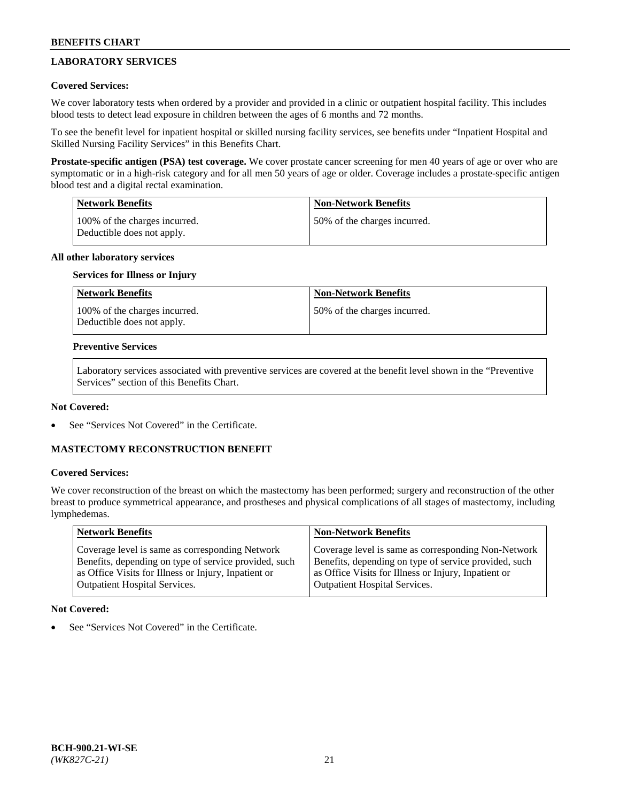# **LABORATORY SERVICES**

## **Covered Services:**

We cover laboratory tests when ordered by a provider and provided in a clinic or outpatient hospital facility. This includes blood tests to detect lead exposure in children between the ages of 6 months and 72 months.

To see the benefit level for inpatient hospital or skilled nursing facility services, see benefits under "Inpatient Hospital and Skilled Nursing Facility Services" in this Benefits Chart.

**Prostate-specific antigen (PSA) test coverage.** We cover prostate cancer screening for men 40 years of age or over who are symptomatic or in a high-risk category and for all men 50 years of age or older. Coverage includes a prostate-specific antigen blood test and a digital rectal examination.

| Network Benefits                                            | <b>Non-Network Benefits</b>  |
|-------------------------------------------------------------|------------------------------|
| 100% of the charges incurred.<br>Deductible does not apply. | 50% of the charges incurred. |

## **All other laboratory services**

### **Services for Illness or Injury**

| <b>Network Benefits</b>                                     | <b>Non-Network Benefits</b>  |
|-------------------------------------------------------------|------------------------------|
| 100% of the charges incurred.<br>Deductible does not apply. | 50% of the charges incurred. |

### **Preventive Services**

Laboratory services associated with preventive services are covered at the benefit level shown in the "Preventive Services" section of this Benefits Chart.

## **Not Covered:**

See "Services Not Covered" in the Certificate.

## **MASTECTOMY RECONSTRUCTION BENEFIT**

#### **Covered Services:**

We cover reconstruction of the breast on which the mastectomy has been performed; surgery and reconstruction of the other breast to produce symmetrical appearance, and prostheses and physical complications of all stages of mastectomy, including lymphedemas.

| <b>Network Benefits</b>                               | <b>Non-Network Benefits</b>                           |
|-------------------------------------------------------|-------------------------------------------------------|
| Coverage level is same as corresponding Network       | Coverage level is same as corresponding Non-Network   |
| Benefits, depending on type of service provided, such | Benefits, depending on type of service provided, such |
| as Office Visits for Illness or Injury, Inpatient or  | as Office Visits for Illness or Injury, Inpatient or  |
| <b>Outpatient Hospital Services.</b>                  | Outpatient Hospital Services.                         |

## **Not Covered:**

See "Services Not Covered" in the Certificate.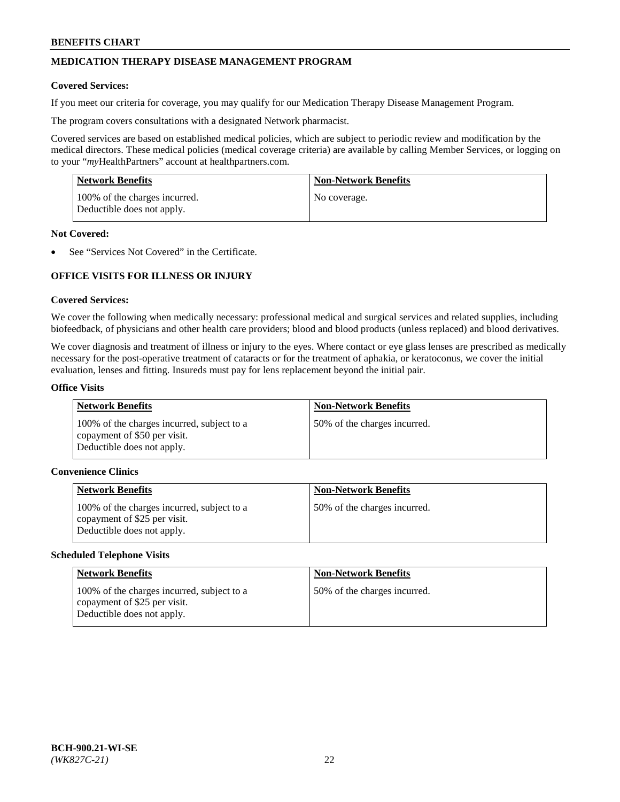# **MEDICATION THERAPY DISEASE MANAGEMENT PROGRAM**

### **Covered Services:**

If you meet our criteria for coverage, you may qualify for our Medication Therapy Disease Management Program.

The program covers consultations with a designated Network pharmacist.

Covered services are based on established medical policies, which are subject to periodic review and modification by the medical directors. These medical policies (medical coverage criteria) are available by calling Member Services, or logging on to your "*my*HealthPartners" account at [healthpartners.com.](http://www.healthpartners.com/)

| Network Benefits                                            | <b>Non-Network Benefits</b> |
|-------------------------------------------------------------|-----------------------------|
| 100% of the charges incurred.<br>Deductible does not apply. | No coverage.                |

### **Not Covered:**

See "Services Not Covered" in the Certificate.

## **OFFICE VISITS FOR ILLNESS OR INJURY**

### **Covered Services:**

We cover the following when medically necessary: professional medical and surgical services and related supplies, including biofeedback, of physicians and other health care providers; blood and blood products (unless replaced) and blood derivatives.

We cover diagnosis and treatment of illness or injury to the eyes. Where contact or eye glass lenses are prescribed as medically necessary for the post-operative treatment of cataracts or for the treatment of aphakia, or keratoconus, we cover the initial evaluation, lenses and fitting. Insureds must pay for lens replacement beyond the initial pair.

#### **Office Visits**

| <b>Network Benefits</b>                                                                                  | <b>Non-Network Benefits</b>  |
|----------------------------------------------------------------------------------------------------------|------------------------------|
| 100% of the charges incurred, subject to a<br>copayment of \$50 per visit.<br>Deductible does not apply. | 50% of the charges incurred. |

### **Convenience Clinics**

| <b>Network Benefits</b>                                                                                  | <b>Non-Network Benefits</b>  |
|----------------------------------------------------------------------------------------------------------|------------------------------|
| 100% of the charges incurred, subject to a<br>copayment of \$25 per visit.<br>Deductible does not apply. | 50% of the charges incurred. |

#### **Scheduled Telephone Visits**

| Network Benefits                                                                                         | <b>Non-Network Benefits</b>  |
|----------------------------------------------------------------------------------------------------------|------------------------------|
| 100% of the charges incurred, subject to a<br>copayment of \$25 per visit.<br>Deductible does not apply. | 50% of the charges incurred. |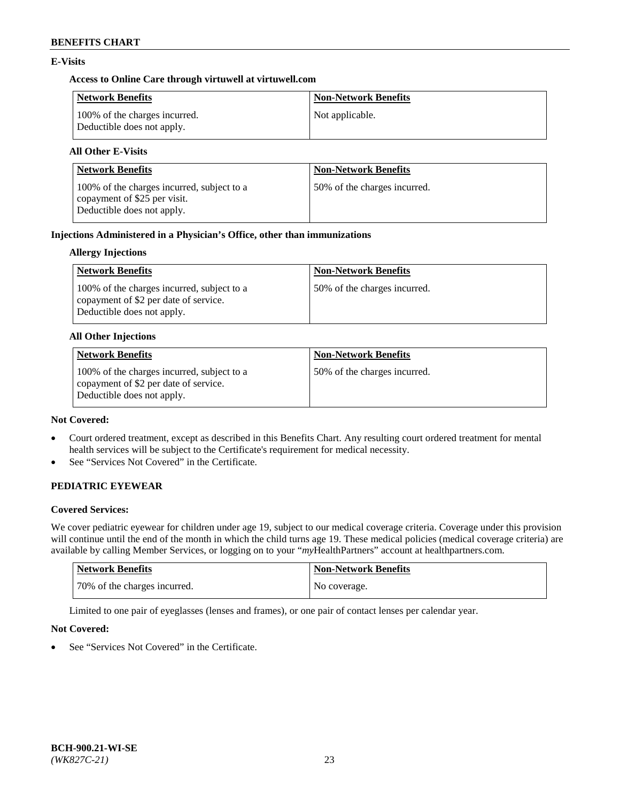## **E-Visits**

## **Access to Online Care through virtuwell a[t virtuwell.com](https://www.virtuwell.com/)**

| <b>Network Benefits</b>                                     | <b>Non-Network Benefits</b> |
|-------------------------------------------------------------|-----------------------------|
| 100% of the charges incurred.<br>Deductible does not apply. | Not applicable.             |

# **All Other E-Visits**

| <b>Network Benefits</b>                                                                                  | <b>Non-Network Benefits</b>  |
|----------------------------------------------------------------------------------------------------------|------------------------------|
| 100% of the charges incurred, subject to a<br>copayment of \$25 per visit.<br>Deductible does not apply. | 50% of the charges incurred. |

## **Injections Administered in a Physician's Office, other than immunizations**

## **Allergy Injections**

| Network Benefits                                                                                                  | <b>Non-Network Benefits</b>  |
|-------------------------------------------------------------------------------------------------------------------|------------------------------|
| 100% of the charges incurred, subject to a<br>copayment of \$2 per date of service.<br>Deductible does not apply. | 50% of the charges incurred. |

### **All Other Injections**

| <b>Network Benefits</b>                                                                                           | <b>Non-Network Benefits</b>  |
|-------------------------------------------------------------------------------------------------------------------|------------------------------|
| 100% of the charges incurred, subject to a<br>copayment of \$2 per date of service.<br>Deductible does not apply. | 50% of the charges incurred. |

### **Not Covered:**

- Court ordered treatment, except as described in this Benefits Chart. Any resulting court ordered treatment for mental health services will be subject to the Certificate's requirement for medical necessity.
- See "Services Not Covered" in the Certificate.

# **PEDIATRIC EYEWEAR**

## **Covered Services:**

We cover pediatric eyewear for children under age 19, subject to our medical coverage criteria. Coverage under this provision will continue until the end of the month in which the child turns age 19. These medical policies (medical coverage criteria) are available by calling Member Services, or logging on to your "*my*HealthPartners" account a[t healthpartners.com.](https://www.healthpartners.com/hp/index.html)

| Network Benefits             | <b>Non-Network Benefits</b> |
|------------------------------|-----------------------------|
| 70% of the charges incurred. | No coverage.                |

Limited to one pair of eyeglasses (lenses and frames), or one pair of contact lenses per calendar year.

## **Not Covered:**

See "Services Not Covered" in the Certificate.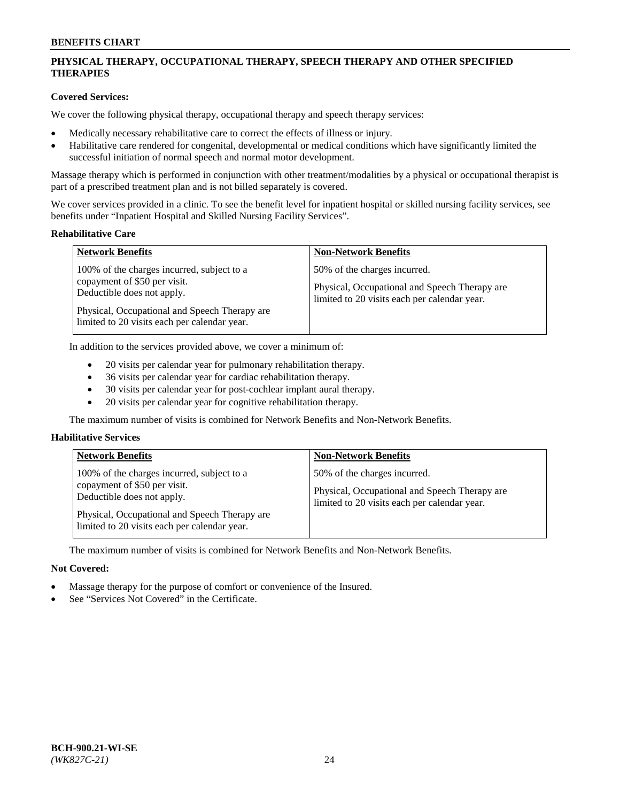# **PHYSICAL THERAPY, OCCUPATIONAL THERAPY, SPEECH THERAPY AND OTHER SPECIFIED THERAPIES**

## **Covered Services:**

We cover the following physical therapy, occupational therapy and speech therapy services:

- Medically necessary rehabilitative care to correct the effects of illness or injury.
- Habilitative care rendered for congenital, developmental or medical conditions which have significantly limited the successful initiation of normal speech and normal motor development.

Massage therapy which is performed in conjunction with other treatment/modalities by a physical or occupational therapist is part of a prescribed treatment plan and is not billed separately is covered.

We cover services provided in a clinic. To see the benefit level for inpatient hospital or skilled nursing facility services, see benefits under "Inpatient Hospital and Skilled Nursing Facility Services".

#### **Rehabilitative Care**

| <b>Network Benefits</b>                                                                                                                                                                                   | <b>Non-Network Benefits</b>                                                                                                   |
|-----------------------------------------------------------------------------------------------------------------------------------------------------------------------------------------------------------|-------------------------------------------------------------------------------------------------------------------------------|
| 100% of the charges incurred, subject to a<br>copayment of \$50 per visit.<br>Deductible does not apply.<br>Physical, Occupational and Speech Therapy are<br>limited to 20 visits each per calendar year. | 50% of the charges incurred.<br>Physical, Occupational and Speech Therapy are<br>limited to 20 visits each per calendar year. |

In addition to the services provided above, we cover a minimum of:

- 20 visits per calendar year for pulmonary rehabilitation therapy.
- 36 visits per calendar year for cardiac rehabilitation therapy.
- 30 visits per calendar year for post-cochlear implant aural therapy.
- 20 visits per calendar year for cognitive rehabilitation therapy.

The maximum number of visits is combined for Network Benefits and Non-Network Benefits.

## **Habilitative Services**

| <b>Network Benefits</b>                                                                                  | <b>Non-Network Benefits</b>                                                                                                   |
|----------------------------------------------------------------------------------------------------------|-------------------------------------------------------------------------------------------------------------------------------|
| 100% of the charges incurred, subject to a<br>copayment of \$50 per visit.<br>Deductible does not apply. | 50% of the charges incurred.<br>Physical, Occupational and Speech Therapy are<br>limited to 20 visits each per calendar year. |
| Physical, Occupational and Speech Therapy are<br>limited to 20 visits each per calendar year.            |                                                                                                                               |

The maximum number of visits is combined for Network Benefits and Non-Network Benefits.

## **Not Covered:**

- Massage therapy for the purpose of comfort or convenience of the Insured.
- See "Services Not Covered" in the Certificate.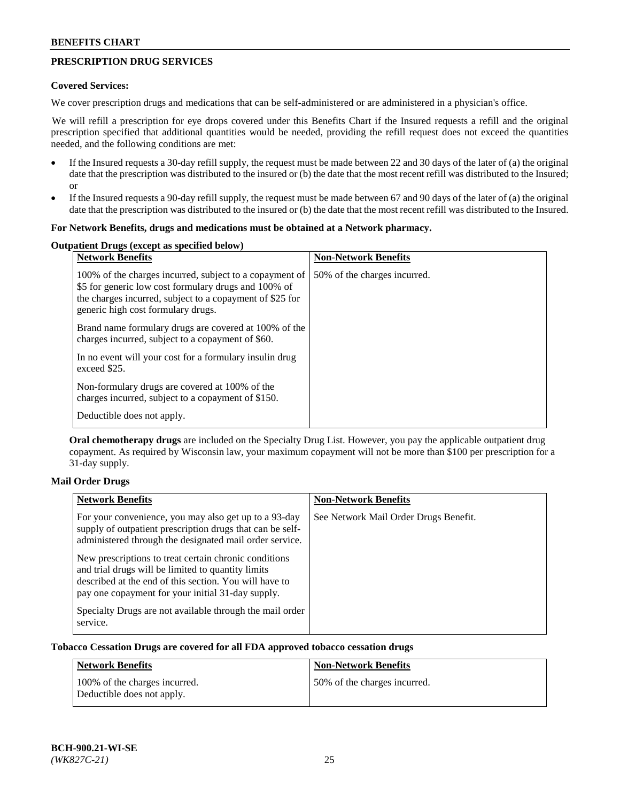## **PRESCRIPTION DRUG SERVICES**

## **Covered Services:**

We cover prescription drugs and medications that can be self-administered or are administered in a physician's office.

We will refill a prescription for eye drops covered under this Benefits Chart if the Insured requests a refill and the original prescription specified that additional quantities would be needed, providing the refill request does not exceed the quantities needed, and the following conditions are met:

- If the Insured requests a 30-day refill supply, the request must be made between 22 and 30 days of the later of (a) the original date that the prescription was distributed to the insured or (b) the date that the most recent refill was distributed to the Insured; or
- If the Insured requests a 90-day refill supply, the request must be made between 67 and 90 days of the later of (a) the original date that the prescription was distributed to the insured or (b) the date that the most recent refill was distributed to the Insured.

### **For Network Benefits, drugs and medications must be obtained at a Network pharmacy.**

#### **Outpatient Drugs (except as specified below)**

| <b>Network Benefits</b>                                                                                                                                                                                           | <b>Non-Network Benefits</b>  |
|-------------------------------------------------------------------------------------------------------------------------------------------------------------------------------------------------------------------|------------------------------|
| 100% of the charges incurred, subject to a copayment of<br>\$5 for generic low cost formulary drugs and 100% of<br>the charges incurred, subject to a copayment of \$25 for<br>generic high cost formulary drugs. | 50% of the charges incurred. |
| Brand name formulary drugs are covered at 100% of the<br>charges incurred, subject to a copayment of \$60.                                                                                                        |                              |
| In no event will your cost for a formulary insulin drug<br>exceed \$25.                                                                                                                                           |                              |
| Non-formulary drugs are covered at 100% of the<br>charges incurred, subject to a copayment of \$150.                                                                                                              |                              |
| Deductible does not apply.                                                                                                                                                                                        |                              |

**Oral chemotherapy drugs** are included on the Specialty Drug List. However, you pay the applicable outpatient drug copayment. As required by Wisconsin law, your maximum copayment will not be more than \$100 per prescription for a 31-day supply.

## **Mail Order Drugs**

| <b>Network Benefits</b>                                                                                                                                                                                                    | <b>Non-Network Benefits</b>           |
|----------------------------------------------------------------------------------------------------------------------------------------------------------------------------------------------------------------------------|---------------------------------------|
| For your convenience, you may also get up to a 93-day<br>supply of outpatient prescription drugs that can be self-<br>administered through the designated mail order service.                                              | See Network Mail Order Drugs Benefit. |
| New prescriptions to treat certain chronic conditions<br>and trial drugs will be limited to quantity limits<br>described at the end of this section. You will have to<br>pay one copayment for your initial 31-day supply. |                                       |
| Specialty Drugs are not available through the mail order<br>service.                                                                                                                                                       |                                       |

## **Tobacco Cessation Drugs are covered for all FDA approved tobacco cessation drugs**

| Network Benefits                                            | <b>Non-Network Benefits</b>  |
|-------------------------------------------------------------|------------------------------|
| 100% of the charges incurred.<br>Deductible does not apply. | 50% of the charges incurred. |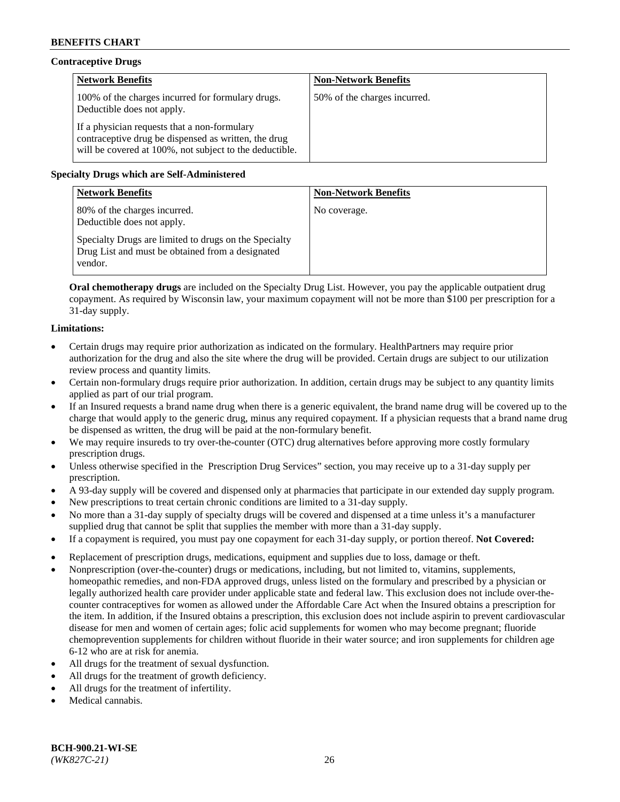## **Contraceptive Drugs**

| <b>Network Benefits</b>                                                                                                                                         | <b>Non-Network Benefits</b>  |
|-----------------------------------------------------------------------------------------------------------------------------------------------------------------|------------------------------|
| 100% of the charges incurred for formulary drugs.<br>Deductible does not apply.                                                                                 | 50% of the charges incurred. |
| If a physician requests that a non-formulary<br>contraceptive drug be dispensed as written, the drug<br>will be covered at 100%, not subject to the deductible. |                              |

## **Specialty Drugs which are Self-Administered**

| <b>Network Benefits</b>                                                                                              | <b>Non-Network Benefits</b> |
|----------------------------------------------------------------------------------------------------------------------|-----------------------------|
| 80% of the charges incurred.<br>Deductible does not apply.                                                           | No coverage.                |
| Specialty Drugs are limited to drugs on the Specialty<br>Drug List and must be obtained from a designated<br>vendor. |                             |

**Oral chemotherapy drugs** are included on the Specialty Drug List. However, you pay the applicable outpatient drug copayment. As required by Wisconsin law, your maximum copayment will not be more than \$100 per prescription for a 31-day supply.

## **Limitations:**

- Certain drugs may require prior authorization as indicated on the formulary. HealthPartners may require prior authorization for the drug and also the site where the drug will be provided. Certain drugs are subject to our utilization review process and quantity limits.
- Certain non-formulary drugs require prior authorization. In addition, certain drugs may be subject to any quantity limits applied as part of our trial program.
- If an Insured requests a brand name drug when there is a generic equivalent, the brand name drug will be covered up to the charge that would apply to the generic drug, minus any required copayment. If a physician requests that a brand name drug be dispensed as written, the drug will be paid at the non-formulary benefit.
- We may require insureds to try over-the-counter (OTC) drug alternatives before approving more costly formulary prescription drugs.
- Unless otherwise specified in the Prescription Drug Services" section, you may receive up to a 31-day supply per prescription.
- A 93-day supply will be covered and dispensed only at pharmacies that participate in our extended day supply program.
- New prescriptions to treat certain chronic conditions are limited to a 31-day supply.
- No more than a 31-day supply of specialty drugs will be covered and dispensed at a time unless it's a manufacturer supplied drug that cannot be split that supplies the member with more than a 31-day supply.
- If a copayment is required, you must pay one copayment for each 31-day supply, or portion thereof. **Not Covered:**
- Replacement of prescription drugs, medications, equipment and supplies due to loss, damage or theft.
- Nonprescription (over-the-counter) drugs or medications, including, but not limited to, vitamins, supplements, homeopathic remedies, and non-FDA approved drugs, unless listed on the formulary and prescribed by a physician or legally authorized health care provider under applicable state and federal law. This exclusion does not include over-thecounter contraceptives for women as allowed under the Affordable Care Act when the Insured obtains a prescription for the item. In addition, if the Insured obtains a prescription, this exclusion does not include aspirin to prevent cardiovascular disease for men and women of certain ages; folic acid supplements for women who may become pregnant; fluoride chemoprevention supplements for children without fluoride in their water source; and iron supplements for children age 6-12 who are at risk for anemia.
- All drugs for the treatment of sexual dysfunction.
- All drugs for the treatment of growth deficiency.
- All drugs for the treatment of infertility.
- Medical cannabis.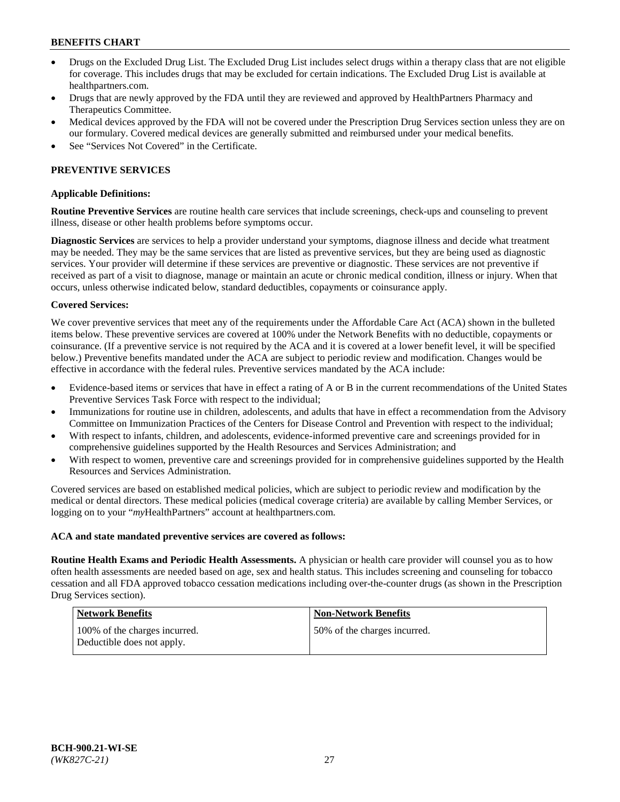- Drugs on the Excluded Drug List. The Excluded Drug List includes select drugs within a therapy class that are not eligible for coverage. This includes drugs that may be excluded for certain indications. The Excluded Drug List is available at [healthpartners.com.](http://www.healthpartners.com/)
- Drugs that are newly approved by the FDA until they are reviewed and approved by HealthPartners Pharmacy and Therapeutics Committee.
- Medical devices approved by the FDA will not be covered under the Prescription Drug Services section unless they are on our formulary. Covered medical devices are generally submitted and reimbursed under your medical benefits.
- See "Services Not Covered" in the Certificate.

## **PREVENTIVE SERVICES**

### **Applicable Definitions:**

**Routine Preventive Services** are routine health care services that include screenings, check-ups and counseling to prevent illness, disease or other health problems before symptoms occur.

**Diagnostic Services** are services to help a provider understand your symptoms, diagnose illness and decide what treatment may be needed. They may be the same services that are listed as preventive services, but they are being used as diagnostic services. Your provider will determine if these services are preventive or diagnostic. These services are not preventive if received as part of a visit to diagnose, manage or maintain an acute or chronic medical condition, illness or injury. When that occurs, unless otherwise indicated below, standard deductibles, copayments or coinsurance apply.

### **Covered Services:**

We cover preventive services that meet any of the requirements under the Affordable Care Act (ACA) shown in the bulleted items below. These preventive services are covered at 100% under the Network Benefits with no deductible, copayments or coinsurance. (If a preventive service is not required by the ACA and it is covered at a lower benefit level, it will be specified below.) Preventive benefits mandated under the ACA are subject to periodic review and modification. Changes would be effective in accordance with the federal rules. Preventive services mandated by the ACA include:

- Evidence-based items or services that have in effect a rating of A or B in the current recommendations of the United States Preventive Services Task Force with respect to the individual;
- Immunizations for routine use in children, adolescents, and adults that have in effect a recommendation from the Advisory Committee on Immunization Practices of the Centers for Disease Control and Prevention with respect to the individual;
- With respect to infants, children, and adolescents, evidence-informed preventive care and screenings provided for in comprehensive guidelines supported by the Health Resources and Services Administration; and
- With respect to women, preventive care and screenings provided for in comprehensive guidelines supported by the Health Resources and Services Administration.

Covered services are based on established medical policies, which are subject to periodic review and modification by the medical or dental directors. These medical policies (medical coverage criteria) are available by calling Member Services, or logging on to your "*my*HealthPartners" account at [healthpartners.com.](https://www.healthpartners.com/hp/index.html)

#### **ACA and state mandated preventive services are covered as follows:**

**Routine Health Exams and Periodic Health Assessments.** A physician or health care provider will counsel you as to how often health assessments are needed based on age, sex and health status. This includes screening and counseling for tobacco cessation and all FDA approved tobacco cessation medications including over-the-counter drugs (as shown in the Prescription Drug Services section).

| Network Benefits                                             | <b>Non-Network Benefits</b>  |
|--------------------------------------------------------------|------------------------------|
| 100\% of the charges incurred.<br>Deductible does not apply. | 50% of the charges incurred. |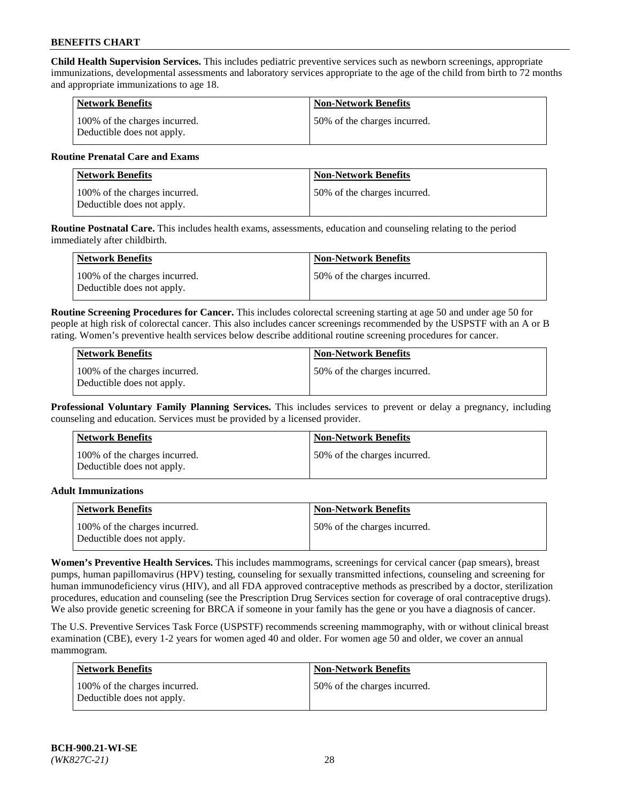**Child Health Supervision Services.** This includes pediatric preventive services such as newborn screenings, appropriate immunizations, developmental assessments and laboratory services appropriate to the age of the child from birth to 72 months and appropriate immunizations to age 18.

| <b>Network Benefits</b>                                     | <b>Non-Network Benefits</b>  |
|-------------------------------------------------------------|------------------------------|
| 100% of the charges incurred.<br>Deductible does not apply. | 50% of the charges incurred. |

## **Routine Prenatal Care and Exams**

| Network Benefits                                            | <b>Non-Network Benefits</b>  |
|-------------------------------------------------------------|------------------------------|
| 100% of the charges incurred.<br>Deductible does not apply. | 50% of the charges incurred. |

**Routine Postnatal Care.** This includes health exams, assessments, education and counseling relating to the period immediately after childbirth.

| Network Benefits                                            | <b>Non-Network Benefits</b>  |
|-------------------------------------------------------------|------------------------------|
| 100% of the charges incurred.<br>Deductible does not apply. | 50% of the charges incurred. |

**Routine Screening Procedures for Cancer.** This includes colorectal screening starting at age 50 and under age 50 for people at high risk of colorectal cancer. This also includes cancer screenings recommended by the USPSTF with an A or B rating. Women's preventive health services below describe additional routine screening procedures for cancer.

| <b>Network Benefits</b>                                     | <b>Non-Network Benefits</b>   |
|-------------------------------------------------------------|-------------------------------|
| 100% of the charges incurred.<br>Deductible does not apply. | 150% of the charges incurred. |

**Professional Voluntary Family Planning Services.** This includes services to prevent or delay a pregnancy, including counseling and education. Services must be provided by a licensed provider.

| <b>Network Benefits</b>                                     | <b>Non-Network Benefits</b>  |
|-------------------------------------------------------------|------------------------------|
| 100% of the charges incurred.<br>Deductible does not apply. | 50% of the charges incurred. |

### **Adult Immunizations**

| Network Benefits                                            | <b>Non-Network Benefits</b>   |
|-------------------------------------------------------------|-------------------------------|
| 100% of the charges incurred.<br>Deductible does not apply. | 150% of the charges incurred. |

**Women's Preventive Health Services.** This includes mammograms, screenings for cervical cancer (pap smears), breast pumps, human papillomavirus (HPV) testing, counseling for sexually transmitted infections, counseling and screening for human immunodeficiency virus (HIV), and all FDA approved contraceptive methods as prescribed by a doctor, sterilization procedures, education and counseling (see the Prescription Drug Services section for coverage of oral contraceptive drugs). We also provide genetic screening for BRCA if someone in your family has the gene or you have a diagnosis of cancer.

The U.S. Preventive Services Task Force (USPSTF) recommends screening mammography, with or without clinical breast examination (CBE), every 1-2 years for women aged 40 and older. For women age 50 and older, we cover an annual mammogram.

| <b>Network Benefits</b>                                     | <b>Non-Network Benefits</b>  |
|-------------------------------------------------------------|------------------------------|
| 100% of the charges incurred.<br>Deductible does not apply. | 50% of the charges incurred. |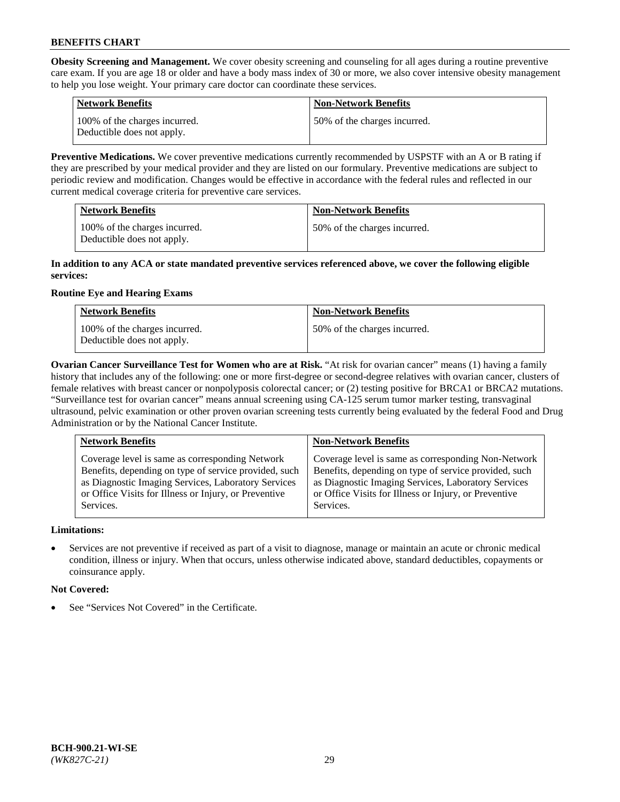**Obesity Screening and Management.** We cover obesity screening and counseling for all ages during a routine preventive care exam. If you are age 18 or older and have a body mass index of 30 or more, we also cover intensive obesity management to help you lose weight. Your primary care doctor can coordinate these services.

| <b>Network Benefits</b>                                     | <b>Non-Network Benefits</b>  |
|-------------------------------------------------------------|------------------------------|
| 100% of the charges incurred.<br>Deductible does not apply. | 50% of the charges incurred. |

**Preventive Medications.** We cover preventive medications currently recommended by USPSTF with an A or B rating if they are prescribed by your medical provider and they are listed on our formulary. Preventive medications are subject to periodic review and modification. Changes would be effective in accordance with the federal rules and reflected in our current medical coverage criteria for preventive care services.

| <b>Network Benefits</b>                                     | <b>Non-Network Benefits</b>  |
|-------------------------------------------------------------|------------------------------|
| 100% of the charges incurred.<br>Deductible does not apply. | 50% of the charges incurred. |

## **In addition to any ACA or state mandated preventive services referenced above, we cover the following eligible services:**

## **Routine Eye and Hearing Exams**

| <b>Network Benefits</b>                                     | <b>Non-Network Benefits</b>  |
|-------------------------------------------------------------|------------------------------|
| 100% of the charges incurred.<br>Deductible does not apply. | 50% of the charges incurred. |

**Ovarian Cancer Surveillance Test for Women who are at Risk.** "At risk for ovarian cancer" means (1) having a family history that includes any of the following: one or more first-degree or second-degree relatives with ovarian cancer, clusters of female relatives with breast cancer or nonpolyposis colorectal cancer; or (2) testing positive for BRCA1 or BRCA2 mutations. "Surveillance test for ovarian cancer" means annual screening using CA-125 serum tumor marker testing, transvaginal ultrasound, pelvic examination or other proven ovarian screening tests currently being evaluated by the federal Food and Drug Administration or by the National Cancer Institute.

| <b>Network Benefits</b>                               | <b>Non-Network Benefits</b>                           |
|-------------------------------------------------------|-------------------------------------------------------|
| Coverage level is same as corresponding Network       | Coverage level is same as corresponding Non-Network   |
| Benefits, depending on type of service provided, such | Benefits, depending on type of service provided, such |
| as Diagnostic Imaging Services, Laboratory Services   | as Diagnostic Imaging Services, Laboratory Services   |
| or Office Visits for Illness or Injury, or Preventive | or Office Visits for Illness or Injury, or Preventive |
| Services.                                             | Services.                                             |

## **Limitations:**

• Services are not preventive if received as part of a visit to diagnose, manage or maintain an acute or chronic medical condition, illness or injury. When that occurs, unless otherwise indicated above, standard deductibles, copayments or coinsurance apply.

## **Not Covered:**

See "Services Not Covered" in the Certificate.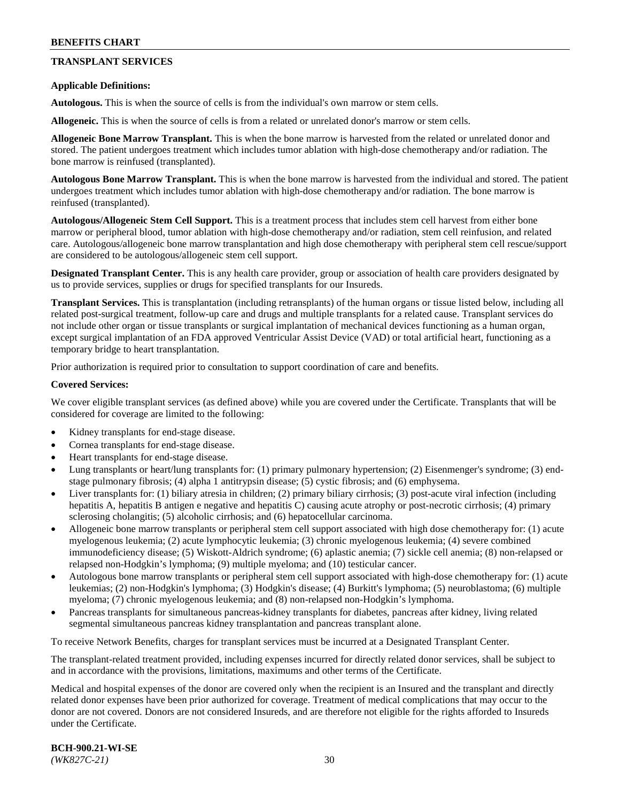## **TRANSPLANT SERVICES**

### **Applicable Definitions:**

**Autologous.** This is when the source of cells is from the individual's own marrow or stem cells.

**Allogeneic.** This is when the source of cells is from a related or unrelated donor's marrow or stem cells.

**Allogeneic Bone Marrow Transplant.** This is when the bone marrow is harvested from the related or unrelated donor and stored. The patient undergoes treatment which includes tumor ablation with high-dose chemotherapy and/or radiation. The bone marrow is reinfused (transplanted).

**Autologous Bone Marrow Transplant.** This is when the bone marrow is harvested from the individual and stored. The patient undergoes treatment which includes tumor ablation with high-dose chemotherapy and/or radiation. The bone marrow is reinfused (transplanted).

**Autologous/Allogeneic Stem Cell Support.** This is a treatment process that includes stem cell harvest from either bone marrow or peripheral blood, tumor ablation with high-dose chemotherapy and/or radiation, stem cell reinfusion, and related care. Autologous/allogeneic bone marrow transplantation and high dose chemotherapy with peripheral stem cell rescue/support are considered to be autologous/allogeneic stem cell support.

**Designated Transplant Center.** This is any health care provider, group or association of health care providers designated by us to provide services, supplies or drugs for specified transplants for our Insureds.

**Transplant Services.** This is transplantation (including retransplants) of the human organs or tissue listed below, including all related post-surgical treatment, follow-up care and drugs and multiple transplants for a related cause. Transplant services do not include other organ or tissue transplants or surgical implantation of mechanical devices functioning as a human organ, except surgical implantation of an FDA approved Ventricular Assist Device (VAD) or total artificial heart, functioning as a temporary bridge to heart transplantation.

Prior authorization is required prior to consultation to support coordination of care and benefits.

### **Covered Services:**

We cover eligible transplant services (as defined above) while you are covered under the Certificate. Transplants that will be considered for coverage are limited to the following:

- Kidney transplants for end-stage disease.
- Cornea transplants for end-stage disease.
- Heart transplants for end-stage disease.
- Lung transplants or heart/lung transplants for: (1) primary pulmonary hypertension; (2) Eisenmenger's syndrome; (3) endstage pulmonary fibrosis; (4) alpha 1 antitrypsin disease; (5) cystic fibrosis; and (6) emphysema.
- Liver transplants for: (1) biliary atresia in children; (2) primary biliary cirrhosis; (3) post-acute viral infection (including hepatitis A, hepatitis B antigen e negative and hepatitis C) causing acute atrophy or post-necrotic cirrhosis; (4) primary sclerosing cholangitis; (5) alcoholic cirrhosis; and (6) hepatocellular carcinoma.
- Allogeneic bone marrow transplants or peripheral stem cell support associated with high dose chemotherapy for: (1) acute myelogenous leukemia; (2) acute lymphocytic leukemia; (3) chronic myelogenous leukemia; (4) severe combined immunodeficiency disease; (5) Wiskott-Aldrich syndrome; (6) aplastic anemia; (7) sickle cell anemia; (8) non-relapsed or relapsed non-Hodgkin's lymphoma; (9) multiple myeloma; and (10) testicular cancer.
- Autologous bone marrow transplants or peripheral stem cell support associated with high-dose chemotherapy for: (1) acute leukemias; (2) non-Hodgkin's lymphoma; (3) Hodgkin's disease; (4) Burkitt's lymphoma; (5) neuroblastoma; (6) multiple myeloma; (7) chronic myelogenous leukemia; and (8) non-relapsed non-Hodgkin's lymphoma.
- Pancreas transplants for simultaneous pancreas-kidney transplants for diabetes, pancreas after kidney, living related segmental simultaneous pancreas kidney transplantation and pancreas transplant alone.

To receive Network Benefits, charges for transplant services must be incurred at a Designated Transplant Center.

The transplant-related treatment provided, including expenses incurred for directly related donor services, shall be subject to and in accordance with the provisions, limitations, maximums and other terms of the Certificate.

Medical and hospital expenses of the donor are covered only when the recipient is an Insured and the transplant and directly related donor expenses have been prior authorized for coverage. Treatment of medical complications that may occur to the donor are not covered. Donors are not considered Insureds, and are therefore not eligible for the rights afforded to Insureds under the Certificate.